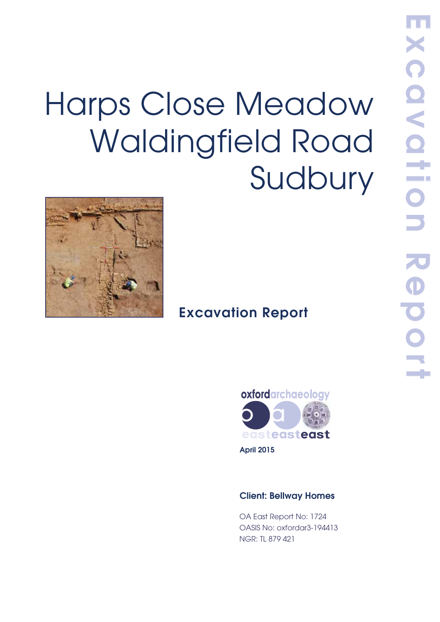# Harps Close Meadow Waldingfield Road Sudbury



# **Excavation Report**



**April 2015**

## **Client: Bellway Homes**

OA East Report No: 1724 OASIS No: oxfordar3-194413 NGR: TL 879 421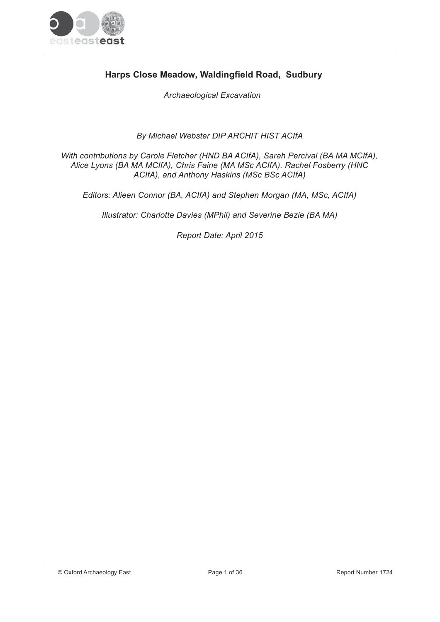

# Harps Close Meadow, Waldingfield Road, Sudbury

**Archaeological Excavation** 

By Michael Webster DIP ARCHIT HIST ACIfA

With contributions by Carole Fletcher (HND BA ACIfA), Sarah Percival (BA MA MCIfA), Alice Lyons (BA MA MCIfA), Chris Faine (MA MSc ACIfA), Rachel Fosberry (HNC ACIfA), and Anthony Haskins (MSc BSc ACIfA)

Editors: Alieen Connor (BA, ACIfA) and Stephen Morgan (MA, MSc, ACIfA)

Illustrator: Charlotte Davies (MPhil) and Severine Bezie (BA MA)

Report Date: April 2015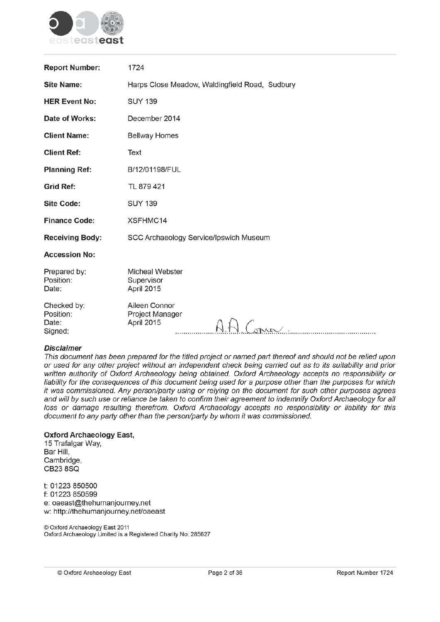

| <b>Report Number:</b>                        | 1724                                                     |
|----------------------------------------------|----------------------------------------------------------|
| <b>Site Name:</b>                            | Harps Close Meadow, Waldingfield Road, Sudbury           |
| <b>HER Event No:</b>                         | <b>SUY 139</b>                                           |
| Date of Works:                               | December 2014                                            |
| <b>Client Name:</b>                          | <b>Bellway Homes</b>                                     |
| <b>Client Ref:</b>                           | Text                                                     |
| <b>Planning Ref:</b>                         | B/12/01198/FUL                                           |
| <b>Grid Ref:</b>                             | TL 879 421                                               |
| <b>Site Code:</b>                            | <b>SUY 139</b>                                           |
| <b>Finance Code:</b>                         | XSFHMC14                                                 |
| <b>Receiving Body:</b>                       | SCC Archaeology Service/Ipswich Museum                   |
| <b>Accession No:</b>                         |                                                          |
| Prepared by:<br>Position:<br>Date:           | <b>Micheal Webster</b><br>Supervisor<br>April 2015       |
| Checked by:<br>Position:<br>Date:<br>Signed: | Aileen Connor<br>Project Manager<br>April 2015<br>A Como |

#### **Disclaimer**

This document has been prepared for the titled project or named part thereof and should not be relied upon or used for any other project without an independent check being carried out as to its suitability and prior written authority of Oxford Archaeology being obtained. Oxford Archaeology accepts no responsibility or liability for the consequences of this document being used for a purpose other than the purposes for which it was commissioned. Any person/party using or relying on the document for such other purposes agrees and will by such use or reliance be taken to confirm their agreement to indemnify Oxford Archaeology for all loss or damage resulting therefrom. Oxford Archaeology accepts no responsibility or liability for this document to any party other than the person/party by whom it was commissioned.

#### **Oxford Archaeology East,**

15 Trafalgar Way, Bar Hill, Cambridge, **CB238SQ** 

t: 01223 850500 f: 01223 850599 e: oaeast@thehumanjourney.net w: http://thehumanjourney.net/oaeast

© Oxford Archaeology East 2011 Oxford Archaeology Limited is a Registered Charity No: 285627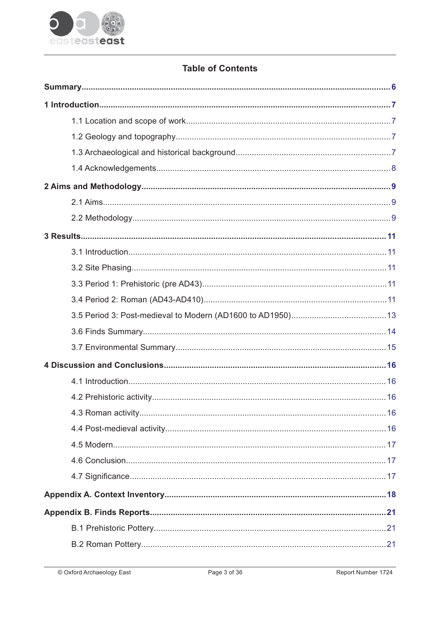

# **Table of Contents**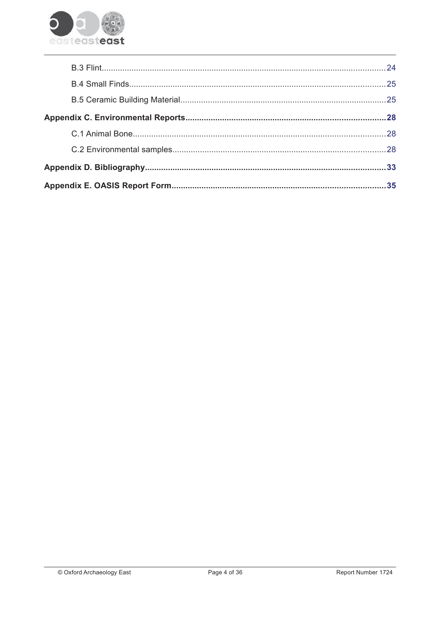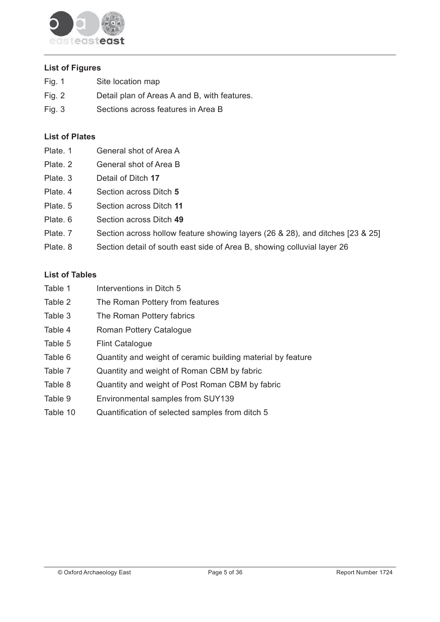

## **List of Figures**

- Fig. 1 Site location map
- Fig. 2 Detail plan of Areas A and B, with features.
- $Fig. 3$ Sections across features in Area B

## **List of Plates**

- Plate, 1 General shot of Area A
- Plate, 2 General shot of Area B
- Plate, 3 Detail of Ditch 17
- Plate, 4 Section across Ditch 5
- Plate, 5 Section across Ditch 11
- Plate, 6 Section across Ditch 49
- Plate, 7 Section across hollow feature showing layers (26 & 28), and ditches [23 & 25]
- Plate, 8 Section detail of south east side of Area B, showing colluvial layer 26

## **List of Tables**

- Table 1 Interventions in Ditch 5
- Table 2 The Roman Pottery from features
- Table 3 The Roman Pottery fabrics
- Table 4 Roman Pottery Catalogue
- Table 5 **Flint Catalogue**
- Table 6 Quantity and weight of ceramic building material by feature
- Table 7 Quantity and weight of Roman CBM by fabric
- Table 8 Quantity and weight of Post Roman CBM by fabric
- Table 9 Environmental samples from SUY139
- Table 10 Quantification of selected samples from ditch 5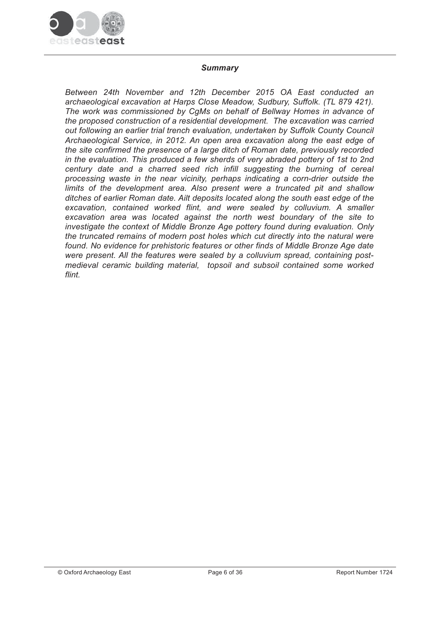

#### **Summary**

Between 24th November and 12th December 2015 OA East conducted an archaeological excavation at Harps Close Meadow, Sudbury, Suffolk. (TL 879 421). The work was commissioned by CaMs on behalf of Bellway Homes in advance of the proposed construction of a residential development. The excavation was carried out following an earlier trial trench evaluation, undertaken by Suffolk County Council Archaeological Service, in 2012. An open area excavation along the east edge of the site confirmed the presence of a large ditch of Roman date, previously recorded in the evaluation. This produced a few sherds of very abraded pottery of 1st to 2nd century date and a charred seed rich infill suggesting the burning of cereal processing waste in the near vicinity, perhaps indicating a corn-drier outside the limits of the development area. Also present were a truncated pit and shallow ditches of earlier Roman date. Ailt deposits located along the south east edge of the excavation, contained worked flint, and were sealed by colluvium. A smaller excavation area was located against the north west boundary of the site to investigate the context of Middle Bronze Age pottery found during evaluation. Only the truncated remains of modern post holes which cut directly into the natural were found. No evidence for prehistoric features or other finds of Middle Bronze Age date were present. All the features were sealed by a colluvium spread, containing postmedieval ceramic building material, topsoil and subsoil contained some worked flint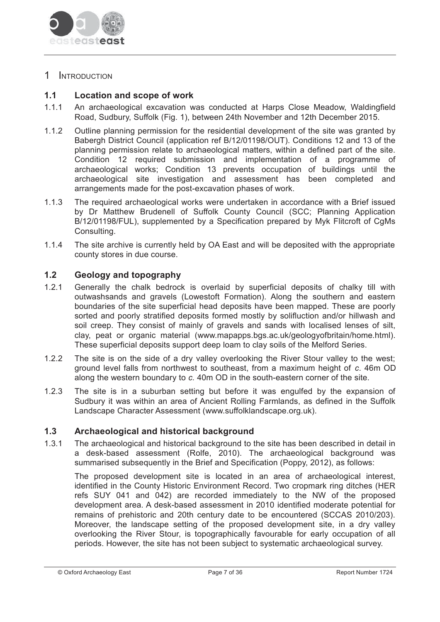

# 1 INTRODUCTION

#### $1.1$ Location and scope of work

- $1.1.1$ An archaeological excavation was conducted at Harps Close Meadow, Waldingfield Road, Sudbury, Suffolk (Fig. 1), between 24th November and 12th December 2015.
- $1.1.2$ Outline planning permission for the residential development of the site was granted by Babergh District Council (application ref B/12/01198/OUT). Conditions 12 and 13 of the planning permission relate to archaeological matters, within a defined part of the site. Condition 12 required submission and implementation of a programme of archaeological works; Condition 13 prevents occupation of buildings until the archaeological site investigation and assessment has been completed and arrangements made for the post-excavation phases of work.
- $1.1.3$ The required archaeological works were undertaken in accordance with a Brief issued by Dr Matthew Brudenell of Suffolk County Council (SCC; Planning Application B/12/01198/FUL), supplemented by a Specification prepared by Myk Flitcroft of CqMs Consulting.
- $1.1.4$ The site archive is currently held by OA East and will be deposited with the appropriate county stores in due course.

#### $1.2$ **Geology and topography**

- $1.2.1$ Generally the chalk bedrock is overlaid by superficial deposits of chalky till with outwashsands and gravels (Lowestoft Formation). Along the southern and eastern boundaries of the site superficial head deposits have been mapped. These are poorly sorted and poorly stratified deposits formed mostly by solifluction and/or hillwash and soil creep. They consist of mainly of gravels and sands with localised lenses of silt. clay, peat or organic material (www.mapapps.bgs.ac.uk/geologyofbritain/home.html). These superficial deposits support deep loam to clay soils of the Melford Series.
- $1.2.2$ The site is on the side of a dry valley overlooking the River Stour valley to the west: ground level falls from northwest to southeast, from a maximum height of c. 46m OD along the western boundary to c. 40m OD in the south-eastern corner of the site.
- $1.2.3$ The site is in a suburban setting but before it was engulfed by the expansion of Sudbury it was within an area of Ancient Rolling Farmlands, as defined in the Suffolk Landscape Character Assessment (www.suffolklandscape.org.uk).

#### $1.3$ Archaeological and historical background

 $1.3.1$ The archaeological and historical background to the site has been described in detail in a desk-based assessment (Rolfe, 2010). The archaeological background was summarised subsequently in the Brief and Specification (Poppy, 2012), as follows:

The proposed development site is located in an area of archaeological interest, identified in the County Historic Environment Record. Two cropmark ring ditches (HER refs SUY 041 and 042) are recorded immediately to the NW of the proposed development area. A desk-based assessment in 2010 identified moderate potential for remains of prehistoric and 20th century date to be encountered (SCCAS 2010/203). Moreover, the landscape setting of the proposed development site, in a dry valley overlooking the River Stour, is topographically favourable for early occupation of all periods. However, the site has not been subject to systematic archaeological survey.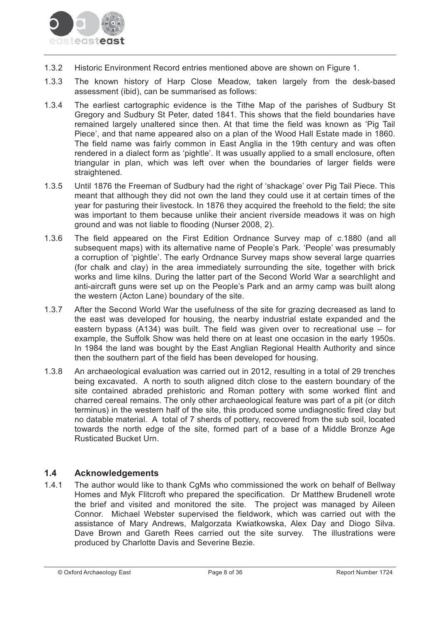

- $1.3.2$ Historic Environment Record entries mentioned above are shown on Figure 1.
- The known history of Harp Close Meadow, taken largely from the desk-based  $1.3.3$ assessment (ibid), can be summarised as follows:
- $1.3.4$ The earliest cartographic evidence is the Tithe Map of the parishes of Sudbury St Gregory and Sudbury St Peter, dated 1841. This shows that the field boundaries have remained largely unaltered since then. At that time the field was known as 'Pig Tail Piece', and that name appeared also on a plan of the Wood Hall Estate made in 1860. The field name was fairly common in East Anglia in the 19th century and was often rendered in a dialect form as 'pightle'. It was usually applied to a small enclosure, often triangular in plan, which was left over when the boundaries of larger fields were straightened.
- $1.3.5$ Until 1876 the Freeman of Sudbury had the right of 'shackage' over Pig Tail Piece. This meant that although they did not own the land they could use it at certain times of the year for pasturing their livestock. In 1876 they acquired the freehold to the field; the site was important to them because unlike their ancient riverside meadows it was on high ground and was not liable to flooding (Nurser 2008, 2).
- $1.3.6$ The field appeared on the First Edition Ordnance Survey map of c.1880 (and all subsequent maps) with its alternative name of People's Park. 'People' was presumably a corruption of 'pightle'. The early Ordnance Survey maps show several large quarries (for chalk and clay) in the area immediately surrounding the site, together with brick works and lime kilns. During the latter part of the Second World War a searchlight and anti-aircraft guns were set up on the People's Park and an army camp was built along the western (Acton Lane) boundary of the site.
- $1.3.7$ After the Second World War the usefulness of the site for grazing decreased as land to the east was developed for housing, the nearby industrial estate expanded and the eastern bypass (A134) was built. The field was given over to recreational use  $-$  for example, the Suffolk Show was held there on at least one occasion in the early 1950s. In 1984 the land was bought by the East Anglian Regional Health Authority and since then the southern part of the field has been developed for housing.
- 138 An archaeological evaluation was carried out in 2012, resulting in a total of 29 trenches being excavated. A north to south aligned ditch close to the eastern boundary of the site contained abraded prehistoric and Roman pottery with some worked flint and charred cereal remains. The only other archaeological feature was part of a pit (or ditch terminus) in the western half of the site, this produced some undiagnostic fired clay but no datable material. A total of 7 sherds of pottery, recovered from the sub soil, located towards the north edge of the site, formed part of a base of a Middle Bronze Age **Rusticated Bucket Urn.**

#### $1.4$ **Acknowledgements**

 $1.4.1$ The author would like to thank CqMs who commissioned the work on behalf of Bellway Homes and Myk Flitcroft who prepared the specification. Dr Matthew Brudenell wrote the brief and visited and monitored the site. The project was managed by Aileen Connor. Michael Webster supervised the fieldwork, which was carried out with the assistance of Mary Andrews, Malgorzata Kwiatkowska, Alex Day and Diogo Silva. Dave Brown and Gareth Rees carried out the site survey. The illustrations were produced by Charlotte Davis and Severine Bezie.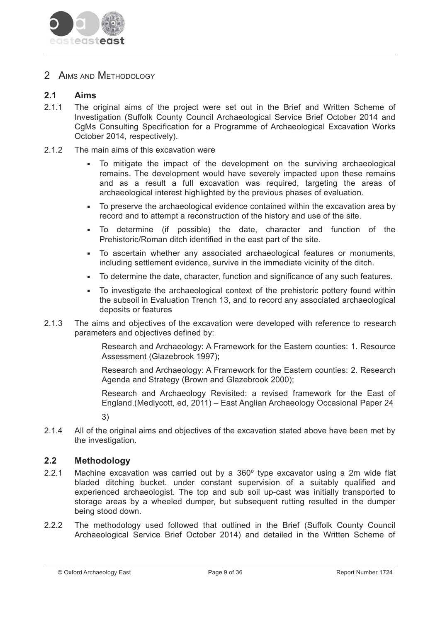

2 AIMS AND METHODOLOGY

#### $2.1$ **Aims**

- $2.1.1$ The original aims of the project were set out in the Brief and Written Scheme of Investigation (Suffolk County Council Archaeological Service Brief October 2014 and CqMs Consulting Specification for a Programme of Archaeological Excavation Works October 2014, respectively).
- $212$ The main aims of this excavation were
	- To mitigate the impact of the development on the surviving archaeological remains. The development would have severely impacted upon these remains and as a result a full excavation was required, targeting the areas of archaeological interest highlighted by the previous phases of evaluation.
	- To preserve the archaeological evidence contained within the excavation area by record and to attempt a reconstruction of the history and use of the site.
	- To determine (if possible) the date, character and function of the Prehistoric/Roman ditch identified in the east part of the site.
	- To ascertain whether any associated archaeological features or monuments, including settlement evidence, survive in the immediate vicinity of the ditch.
	- To determine the date, character, function and significance of any such features.
	- To investigate the archaeological context of the prehistoric pottery found within the subsoil in Evaluation Trench 13, and to record any associated archaeological deposits or features
- $2.1.3$ The aims and objectives of the excavation were developed with reference to research parameters and objectives defined by:

Research and Archaeology: A Framework for the Eastern counties: 1. Resource Assessment (Glazebrook 1997);

Research and Archaeology: A Framework for the Eastern counties: 2. Research Agenda and Strategy (Brown and Glazebrook 2000);

Research and Archaeology Revisited: a revised framework for the East of England.(Medlycott, ed, 2011) - East Anglian Archaeology Occasional Paper 24

 $3)$ 

 $2.1.4$ All of the original aims and objectives of the excavation stated above have been met by the investigation.

#### $2.2$ **Methodology**

- $2.2.1$ Machine excavation was carried out by a 360° type excavator using a 2m wide flat bladed ditching bucket, under constant supervision of a suitably qualified and experienced archaeologist. The top and sub soil up-cast was initially transported to storage areas by a wheeled dumper, but subsequent rutting resulted in the dumper being stood down.
- $222$ The methodology used followed that outlined in the Brief (Suffolk County Council Archaeological Service Brief October 2014) and detailed in the Written Scheme of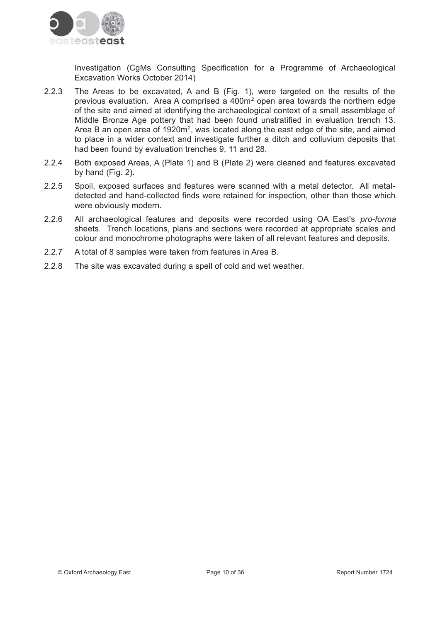

Investigation (CgMs Consulting Specification for a Programme of Archaeological Excavation Works October 2014)

- $2.2.3$ The Areas to be excavated, A and B (Fig. 1), were targeted on the results of the previous evaluation. Area A comprised a 400m<sup>2</sup> open area towards the northern edge of the site and aimed at identifying the archaeological context of a small assemblage of Middle Bronze Age pottery that had been found unstratified in evaluation trench 13. Area B an open area of 1920m<sup>2</sup>, was located along the east edge of the site, and aimed to place in a wider context and investigate further a ditch and colluvium deposits that had been found by evaluation trenches 9, 11 and 28.
- $2.2.4$ Both exposed Areas, A (Plate 1) and B (Plate 2) were cleaned and features excavated by hand (Fig. 2).
- $2.2.5$ Spoil, exposed surfaces and features were scanned with a metal detector. All metaldetected and hand-collected finds were retained for inspection, other than those which were obviously modern.
- $2.2.6$ All archaeological features and deposits were recorded using OA East's pro-forma sheets. Trench locations, plans and sections were recorded at appropriate scales and colour and monochrome photographs were taken of all relevant features and deposits.
- $2.2.7$ A total of 8 samples were taken from features in Area B.
- $228$ The site was excavated during a spell of cold and wet weather.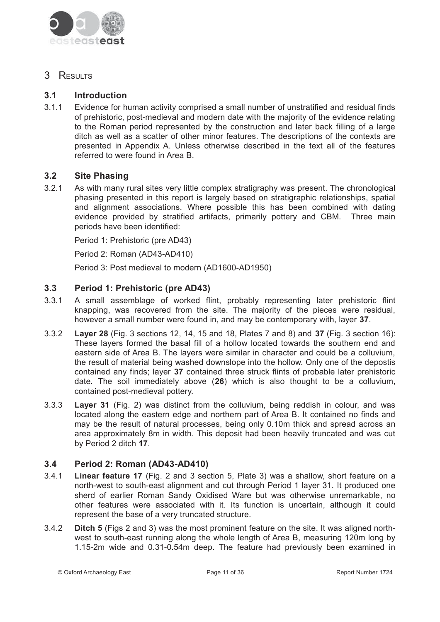

# 3 RESULTS

#### $3.1$ **Introduction**

 $3.1.1$ Evidence for human activity comprised a small number of unstratified and residual finds of prehistoric, post-medieval and modern date with the majority of the evidence relating to the Roman period represented by the construction and later back filling of a large ditch as well as a scatter of other minor features. The descriptions of the contexts are presented in Appendix A. Unless otherwise described in the text all of the features referred to were found in Area B.

#### $3.2$ **Site Phasing**

 $3.2.1$ As with many rural sites very little complex stratigraphy was present. The chronological phasing presented in this report is largely based on stratigraphic relationships, spatial and alignment associations. Where possible this has been combined with dating evidence provided by stratified artifacts, primarily pottery and CBM. Three main periods have been identified:

Period 1: Prehistoric (pre AD43)

Period 2: Roman (AD43-AD410)

Period 3: Post medieval to modern (AD1600-AD1950)

#### $3.3$ Period 1: Prehistoric (pre AD43)

- $3.3.1$ A small assemblage of worked flint, probably representing later prehistoric flint knapping, was recovered from the site. The majority of the pieces were residual, however a small number were found in, and may be contemporary with, laver 37.
- $3.3.2$ **Layer 28** (Fig. 3 sections 12, 14, 15 and 18, Plates 7 and 8) and 37 (Fig. 3 section 16): These layers formed the basal fill of a hollow located towards the southern end and eastern side of Area B. The lavers were similar in character and could be a colluvium. the result of material being washed downslope into the hollow. Only one of the depostis contained any finds; layer 37 contained three struck flints of probable later prehistoric date. The soil immediately above (26) which is also thought to be a colluvium, contained post-medieval pottery.
- 333 Layer 31 (Fig. 2) was distinct from the colluvium, being reddish in colour, and was located along the eastern edge and northern part of Area B. It contained no finds and may be the result of natural processes, being only 0.10m thick and spread across an area approximately 8m in width. This deposit had been heavily truncated and was cut by Period 2 ditch 17.

#### $3.4$ Period 2: Roman (AD43-AD410)

- $3.4.1$ Linear feature 17 (Fig. 2 and 3 section 5, Plate 3) was a shallow, short feature on a north-west to south-east alignment and cut through Period 1 layer 31. It produced one sherd of earlier Roman Sandy Oxidised Ware but was otherwise unremarkable, no other features were associated with it. Its function is uncertain, although it could represent the base of a very truncated structure.
- $3.4.2$ Ditch 5 (Figs 2 and 3) was the most prominent feature on the site. It was aligned northwest to south-east running along the whole length of Area B, measuring 120m long by 1.15-2m wide and 0.31-0.54m deep. The feature had previously been examined in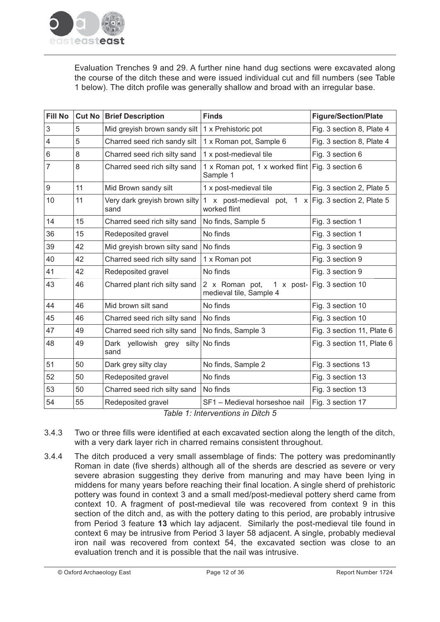

Evaluation Trenches 9 and 29. A further nine hand dug sections were excavated along the course of the ditch these and were issued individual cut and fill numbers (see Table 1 below). The ditch profile was generally shallow and broad with an irregular base.

| <b>Fill No</b> | <b>Cut No</b> | <b>Brief Description</b>              | <b>Finds</b>                                                 | <b>Figure/Section/Plate</b>          |
|----------------|---------------|---------------------------------------|--------------------------------------------------------------|--------------------------------------|
| 3              | 5             | Mid greyish brown sandy silt          | 1 x Prehistoric pot                                          | Fig. 3 section 8, Plate 4            |
| $\overline{4}$ | 5             | Charred seed rich sandy silt          | 1 x Roman pot, Sample 6                                      | Fig. 3 section 8, Plate 4            |
| 6              | 8             | Charred seed rich silty sand          | 1 x post-medieval tile                                       | Fig. 3 section 6                     |
| 7              | 8             | Charred seed rich silty sand          | 1 x Roman pot, 1 x worked flint Fig. 3 section 6<br>Sample 1 |                                      |
| 9              | 11            | Mid Brown sandy silt                  | 1 x post-medieval tile                                       | Fig. 3 section 2, Plate 5            |
| 10             | 11            | Very dark greyish brown silty<br>sand | x post-medieval pot,<br>$\mathbf{1}$<br>worked flint         | 1 $\times$ Fig. 3 section 2, Plate 5 |
| 14             | 15            | Charred seed rich silty sand          | No finds, Sample 5                                           | Fig. 3 section 1                     |
| 36             | 15            | Redeposited gravel                    | No finds                                                     | Fig. 3 section 1                     |
| 39             | 42            | Mid greyish brown silty sand          | No finds                                                     | Fig. 3 section 9                     |
| 40             | 42            | Charred seed rich silty sand          | 1 x Roman pot                                                | Fig. 3 section 9                     |
| 41             | 42            | Redeposited gravel                    | No finds                                                     | Fig. 3 section 9                     |
| 43             | 46            | Charred plant rich silty sand         | 2 x Roman pot,<br>1 x post-<br>medieval tile, Sample 4       | Fig. 3 section 10                    |
| 44             | 46            | Mid brown silt sand                   | No finds                                                     | Fig. 3 section 10                    |
| 45             | 46            | Charred seed rich silty sand          | No finds                                                     | Fig. 3 section 10                    |
| 47             | 49            | Charred seed rich silty sand          | No finds, Sample 3                                           | Fig. 3 section 11, Plate 6           |
| 48             | 49            | Dark yellowish grey silty<br>sand     | No finds                                                     | Fig. 3 section 11, Plate 6           |
| 51             | 50            | Dark grey silty clay                  | No finds, Sample 2                                           | Fig. 3 sections 13                   |
| 52             | 50            | Redeposited gravel                    | No finds                                                     | Fig. 3 section 13                    |
| 53             | 50            | Charred seed rich silty sand          | No finds                                                     | Fig. 3 section 13                    |
| 54             | 55            | Redeposited gravel                    | SF1 - Medieval horseshoe nail                                | Fig. 3 section 17                    |

Table 1: Interventions in Ditch 5

- $3.4.3$ Two or three fills were identified at each excavated section along the length of the ditch. with a very dark layer rich in charred remains consistent throughout.
- The ditch produced a very small assemblage of finds: The pottery was predominantly  $3.4.4$ Roman in date (five sherds) although all of the sherds are descried as severe or very severe abrasion suggesting they derive from manuring and may have been lying in middens for many years before reaching their final location. A single sherd of prehistoric pottery was found in context 3 and a small med/post-medieval pottery sherd came from context 10. A fragment of post-medieval tile was recovered from context 9 in this section of the ditch and, as with the pottery dating to this period, are probably intrusive from Period 3 feature 13 which lay adjacent. Similarly the post-medieval tile found in context 6 may be intrusive from Period 3 layer 58 adjacent. A single, probably medieval iron nail was recovered from context 54, the excavated section was close to an evaluation trench and it is possible that the nail was intrusive.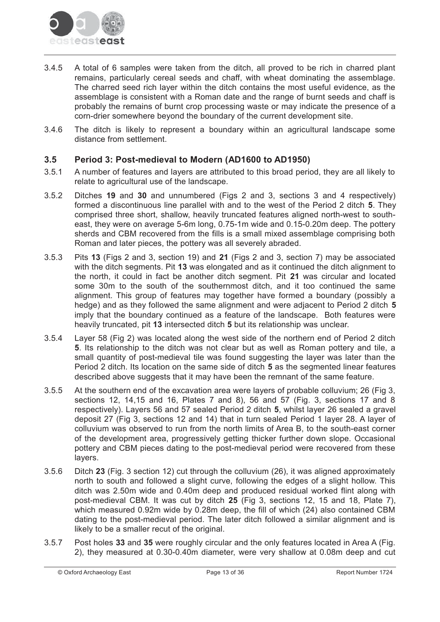

- A total of 6 samples were taken from the ditch, all proved to be rich in charred plant  $3.4.5$ remains, particularly cereal seeds and chaff, with wheat dominating the assemblage. The charred seed rich layer within the ditch contains the most useful evidence, as the assemblage is consistent with a Roman date and the range of burnt seeds and chaff is probably the remains of burnt crop processing waste or may indicate the presence of a corn-drier somewhere beyond the boundary of the current development site.
- $3.4.6$ The ditch is likely to represent a boundary within an agricultural landscape some distance from settlement.

#### $3.5$ Period 3: Post-medieval to Modern (AD1600 to AD1950)

- $3.5.1$ A number of features and layers are attributed to this broad period, they are all likely to relate to agricultural use of the landscape.
- $3.5.2$ Ditches 19 and 30 and unnumbered (Figs 2 and 3, sections 3 and 4 respectively) formed a discontinuous line parallel with and to the west of the Period 2 ditch 5. They comprised three short, shallow, heavily truncated features aligned north-west to southeast, they were on average 5-6m long, 0.75-1m wide and 0.15-0.20m deep. The pottery sherds and CBM recovered from the fills is a small mixed assemblage comprising both Roman and later pieces, the pottery was all severely abraded.
- $3.5.3$ Pits 13 (Figs 2 and 3, section 19) and 21 (Figs 2 and 3, section 7) may be associated with the ditch segments. Pit 13 was elongated and as it continued the ditch alignment to the north, it could in fact be another ditch segment. Pit 21 was circular and located some 30m to the south of the southernmost ditch, and it too continued the same alignment. This group of features may together have formed a boundary (possibly a hedge) and as they followed the same alignment and were adjacent to Period 2 ditch 5 imply that the boundary continued as a feature of the landscape. Both features were heavily truncated, pit 13 intersected ditch 5 but its relationship was unclear.
- $354$ Layer 58 (Fig 2) was located along the west side of the northern end of Period 2 ditch 5. Its relationship to the ditch was not clear but as well as Roman pottery and tile, a small quantity of post-medieval tile was found suggesting the layer was later than the Period 2 ditch. Its location on the same side of ditch 5 as the segmented linear features described above suggests that it may have been the remnant of the same feature.
- $3.5.5$ At the southern end of the excavation area were layers of probable colluvium; 26 (Fig 3, sections 12, 14,15 and 16, Plates 7 and 8), 56 and 57 (Fig. 3, sections 17 and 8 respectively). Layers 56 and 57 sealed Period 2 ditch 5, whilst layer 26 sealed a gravel deposit 27 (Fig 3, sections 12 and 14) that in turn sealed Period 1 layer 28. A layer of colluvium was observed to run from the north limits of Area B, to the south-east corner of the development area, progressively getting thicker further down slope. Occasional pottery and CBM pieces dating to the post-medieval period were recovered from these lavers.
- $3.5.6$ Ditch 23 (Fig. 3 section 12) cut through the colluvium (26), it was aligned approximately north to south and followed a slight curve, following the edges of a slight hollow. This ditch was 2.50m wide and 0.40m deep and produced residual worked flint along with post-medieval CBM. It was cut by ditch 25 (Fig 3, sections 12, 15 and 18, Plate 7), which measured 0.92m wide by 0.28m deep, the fill of which (24) also contained CBM dating to the post-medieval period. The later ditch followed a similar alignment and is likely to be a smaller recut of the original.
- $3.5.7$ Post holes 33 and 35 were roughly circular and the only features located in Area A (Fig. 2), they measured at 0.30-0.40m diameter, were very shallow at 0.08m deep and cut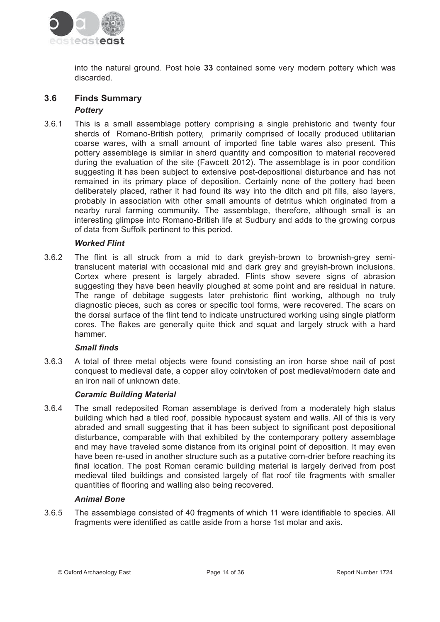

into the natural ground. Post hole 33 contained some very modern pottery which was discarded.

#### $3.6$ **Finds Summary Potterv**

This is a small assemblage pottery comprising a single prehistoric and twenty four  $3.6.1$ sherds of Romano-British pottery, primarily comprised of locally produced utilitarian coarse wares, with a small amount of imported fine table wares also present. This pottery assemblage is similar in sherd quantity and composition to material recovered during the evaluation of the site (Fawcett 2012). The assemblage is in poor condition suggesting it has been subject to extensive post-depositional disturbance and has not remained in its primary place of deposition. Certainly none of the pottery had been deliberately placed, rather it had found its way into the ditch and pit fills, also layers, probably in association with other small amounts of detritus which originated from a nearby rural farming community. The assemblage, therefore, although small is an interesting glimpse into Romano-British life at Sudbury and adds to the growing corpus of data from Suffolk pertinent to this period.

## **Worked Flint**

 $362$ The flint is all struck from a mid to dark greyish-brown to brownish-grey semitranslucent material with occasional mid and dark grey and greyish-brown inclusions. Cortex where present is largely abraded. Flints show severe signs of abrasion suggesting they have been heavily ploughed at some point and are residual in nature. The range of debitage suggests later prehistoric flint working, although no truly diagnostic pieces, such as cores or specific tool forms, were recovered. The scars on the dorsal surface of the flint tend to indicate unstructured working using single platform cores. The flakes are generally quite thick and squat and largely struck with a hard hammer.

## **Small finds**

 $3.6.3$ A total of three metal objects were found consisting an iron horse shoe nail of post conquest to medieval date, a copper alloy coin/token of post medieval/modern date and an iron nail of unknown date.

## **Ceramic Building Material**

 $3.6.4$ The small redeposited Roman assemblage is derived from a moderately high status building which had a tiled roof, possible hypocaust system and walls. All of this is very abraded and small suggesting that it has been subject to significant post depositional disturbance, comparable with that exhibited by the contemporary pottery assemblage and may have traveled some distance from its original point of deposition. It may even have been re-used in another structure such as a putative corn-drier before reaching its final location. The post Roman ceramic building material is largely derived from post medieval tiled buildings and consisted largely of flat roof tile fragments with smaller quantities of flooring and walling also being recovered.

## **Animal Bone**

 $3.6.5$ The assemblage consisted of 40 fragments of which 11 were identifiable to species. All fragments were identified as cattle aside from a horse 1st molar and axis.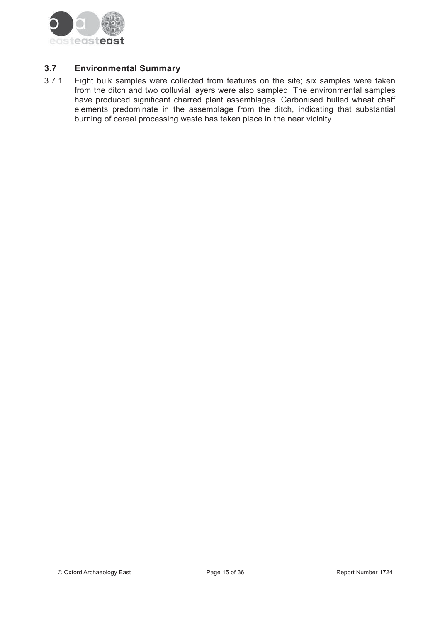

#### $3.7$ **Environmental Summary**

Eight bulk samples were collected from features on the site; six samples were taken  $3.7.1$ from the ditch and two colluvial layers were also sampled. The environmental samples have produced significant charred plant assemblages. Carbonised hulled wheat chaff elements predominate in the assemblage from the ditch, indicating that substantial burning of cereal processing waste has taken place in the near vicinity.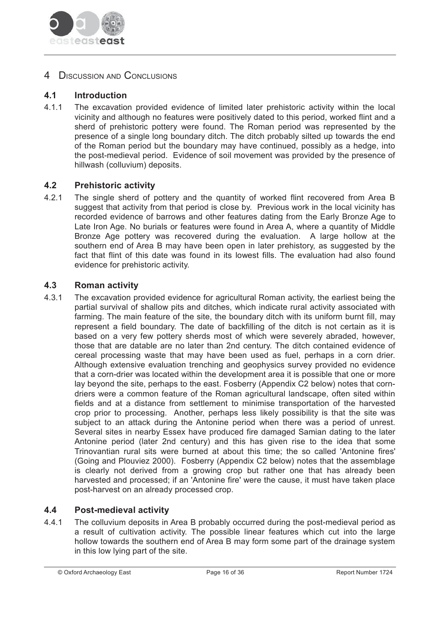

# 4 DISCUSSION AND CONCLUSIONS

#### $4.1$ **Introduction**

 $4.1.1$ The excavation provided evidence of limited later prehistoric activity within the local vicinity and although no features were positively dated to this period, worked flint and a sherd of prehistoric pottery were found. The Roman period was represented by the presence of a single long boundary ditch. The ditch probably silted up towards the end of the Roman period but the boundary may have continued, possibly as a hedge, into the post-medieval period. Evidence of soil movement was provided by the presence of hillwash (colluvium) deposits.

#### $4.2$ **Prehistoric activity**

 $4.2.1$ The single sherd of pottery and the quantity of worked flint recovered from Area B suggest that activity from that period is close by. Previous work in the local vicinity has recorded evidence of barrows and other features dating from the Early Bronze Age to Late Iron Age. No burials or features were found in Area A, where a quantity of Middle Bronze Age pottery was recovered during the evaluation. A large hollow at the southern end of Area B may have been open in later prehistory, as suggested by the fact that flint of this date was found in its lowest fills. The evaluation had also found evidence for prehistoric activity.

#### $4.3$ **Roman activity**

4 3 1 The excavation provided evidence for agricultural Roman activity, the earliest being the partial survival of shallow pits and ditches, which indicate rural activity associated with farming. The main feature of the site, the boundary ditch with its uniform burnt fill, may represent a field boundary. The date of backfilling of the ditch is not certain as it is based on a very few pottery sherds most of which were severely abraded, however, those that are datable are no later than 2nd century. The ditch contained evidence of cereal processing waste that may have been used as fuel, perhaps in a corn drier. Although extensive evaluation trenching and geophysics survey provided no evidence that a corn-drier was located within the development area it is possible that one or more lay beyond the site, perhaps to the east. Fosberry (Appendix C2 below) notes that corndriers were a common feature of the Roman agricultural landscape, often sited within fields and at a distance from settlement to minimise transportation of the harvested crop prior to processing. Another, perhaps less likely possibility is that the site was subject to an attack during the Antonine period when there was a period of unrest. Several sites in nearby Essex have produced fire damaged Samian dating to the later Antonine period (later 2nd century) and this has given rise to the idea that some Trinovantian rural sits were burned at about this time; the so called 'Antonine fires' (Going and Plouviez 2000). Fosberry (Appendix C2 below) notes that the assemblage is clearly not derived from a growing crop but rather one that has already been harvested and processed; if an 'Antonine fire' were the cause, it must have taken place post-harvest on an already processed crop.

#### $4.4$ **Post-medieval activity**

 $4.4.1$ The colluvium deposits in Area B probably occurred during the post-medieval period as a result of cultivation activity. The possible linear features which cut into the large hollow towards the southern end of Area B may form some part of the drainage system in this low lying part of the site.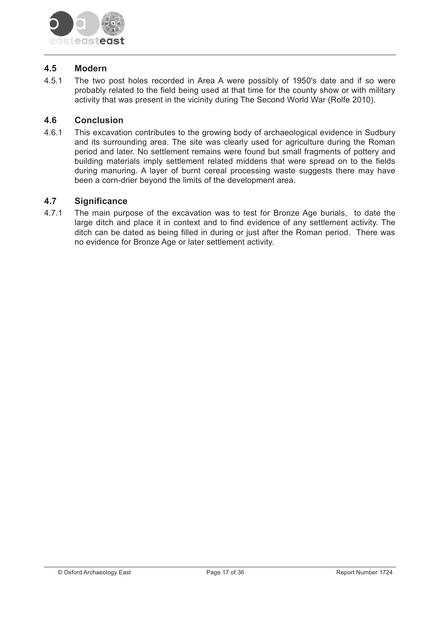

#### $4.5$ **Modern**

 $4.5.1$ The two post holes recorded in Area A were possibly of 1950's date and if so were probably related to the field being used at that time for the county show or with military activity that was present in the vicinity during The Second World War (Rolfe 2010).

#### $4.6$ **Conclusion**

 $4.6.1$ This excavation contributes to the growing body of archaeological evidence in Sudbury and its surrounding area. The site was clearly used for agriculture during the Roman period and later. No settlement remains were found but small fragments of pottery and building materials imply settlement related middens that were spread on to the fields during manuring. A layer of burnt cereal processing waste suggests there may have been a corn-drier beyond the limits of the development area.

#### $4.7$ **Significance**

 $4.7.1$ The main purpose of the excavation was to test for Bronze Age burials, to date the large ditch and place it in context and to find evidence of any settlement activity. The ditch can be dated as being filled in during or just after the Roman period. There was no evidence for Bronze Age or later settlement activity.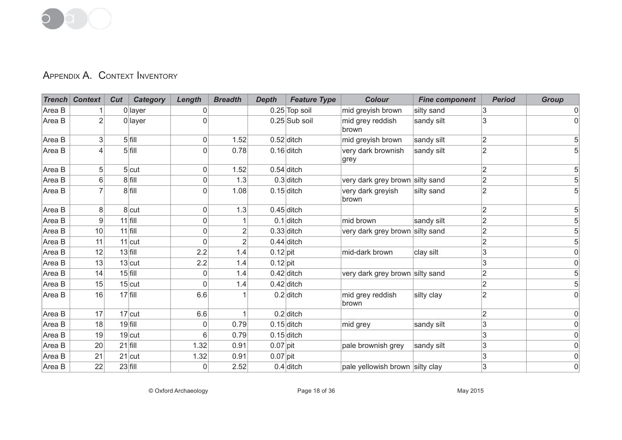# APPENDIX A. CONTEXT INVENTORY

|        | <b>Trench Context</b> | Cut<br><b>Category</b> | Length      | <b>Breadth</b> | <b>Depth</b> | <b>Feature Type</b> | <b>Colour</b>                   | <b>Fine component</b> | <b>Period</b>  | <b>Group</b> |
|--------|-----------------------|------------------------|-------------|----------------|--------------|---------------------|---------------------------------|-----------------------|----------------|--------------|
| Area B |                       | $0$ layer              |             |                |              | 0.25 Top soil       | mid greyish brown               | silty sand            | 3              | 0            |
| Area B | $\overline{2}$        | $0$ layer              |             |                |              | 0.25 Sub soil       | mid grey reddish<br>brown       | sandy silt            | 3              |              |
| Area B | 3                     | $5$ fill               | $\Omega$    | 1.52           |              | $0.52$ ditch        | mid greyish brown               | sandy silt            | 2              |              |
| Area B |                       | $5$ fill               | $\Omega$    | 0.78           |              | $0.16$ ditch        | very dark brownish<br>grey      | sandy silt            | $\overline{2}$ |              |
| Area B | 5 <sup>1</sup>        | $5$ cut                | 0           | 1.52           |              | $0.54$ ditch        |                                 |                       | $\overline{2}$ | 5            |
| Area B | $6 \,$                | $8$ fill               | 0           | 1.3            |              | $0.3$ ditch         | very dark grey brown silty sand |                       | $\overline{2}$ |              |
| Area B |                       | $8$ fill               | 0           | 1.08           |              | $0.15$ ditch        | very dark greyish<br>brown      | silty sand            | $\overline{2}$ |              |
| Area B | 8                     | 8 cut                  | 0           | 1.3            |              | $0.45$ ditch        |                                 |                       | $\overline{2}$ |              |
| Area B | 9                     | $11$ fill              | 0           |                |              | $0.1$ ditch         | mid brown                       | sandy silt            | $\overline{2}$ |              |
| Area B | 10                    | $11$ fill              | $\mathbf 0$ | 2              |              | $0.33$ ditch        | very dark grey brown silty sand |                       | $\overline{2}$ |              |
| Area B | 11                    | $11$ cut               | $\Omega$    | $\overline{2}$ |              | $0.44$ ditch        |                                 |                       | $\overline{2}$ | 5            |
| Area B | 12                    | $13$ fill              | 2.2         | 1.4            | $0.12$ pit   |                     | mid-dark brown                  | clay silt             | 3              | 0            |
| Area B | 13                    | $13$ cut               | 2.2         | 1.4            | $0.12$ pit   |                     |                                 |                       | 3              |              |
| Area B | 14                    | $15$ fill              | 0           | 1.4            |              | $0.42$ ditch        | very dark grey brown silty sand |                       | $\overline{2}$ |              |
| Area B | 15                    | $15$ cut               | $\Omega$    | 1.4            |              | $0.42$ ditch        |                                 |                       | $\overline{2}$ |              |
| Area B | 16                    | $17$ fill              | 6.6         |                |              | $0.2$ ditch         | mid grey reddish<br>brown       | silty clay            | $\overline{2}$ | $\Omega$     |
| Area B | 17                    | $17$ cut               | 6.6         |                |              | $0.2$ ditch         |                                 |                       | $\overline{2}$ |              |
| Area B | 18                    | $19$ fill              | 0           | 0.79           |              | $0.15$ ditch        | mid grey                        | sandy silt            | 3              | 0            |
| Area B | 19                    | $19$ cut               | 6           | 0.79           |              | $0.15$ ditch        |                                 |                       | 3              | 0            |
| Area B | 20                    | $21$ fill              | 1.32        | 0.91           | $0.07$ pit   |                     | pale brownish grey              | sandy silt            | 3              | 0            |
| Area B | 21                    | $21$ cut               | 1.32        | 0.91           | $0.07$ pit   |                     |                                 |                       | 3              | 0            |
| Area B | 22                    | $23$ fill              | 0           | 2.52           |              | $0.4$ ditch         | pale yellowish brown silty clay |                       | 3              | 0            |

© Oxford Archaeology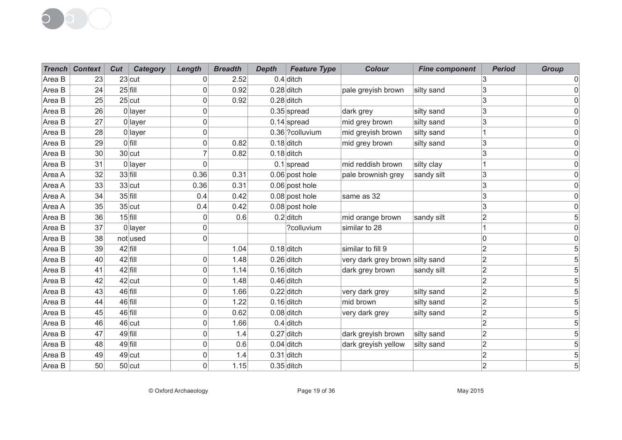

|        | <b>Trench Context</b> | Cut | <b>Category</b> | Length       | <b>Breadth</b> | <b>Depth</b> | <b>Feature Type</b> | <b>Colour</b>                   | <b>Fine component</b> | <b>Period</b>  | <b>Group</b> |
|--------|-----------------------|-----|-----------------|--------------|----------------|--------------|---------------------|---------------------------------|-----------------------|----------------|--------------|
| Area B | 23                    |     | $23$ cut        | 0            | 2.52           |              | $0.4$ ditch         |                                 |                       | 3              |              |
| Area B | 24                    |     | $25$ fill       | 0            | 0.92           |              | $0.28$ ditch        | pale greyish brown              | silty sand            | 3              |              |
| Area B | 25                    |     | $25$ cut        | 0            | 0.92           |              | $0.28$ ditch        |                                 |                       | 3              |              |
| Area B | 26                    |     | $0$ layer       | 0            |                |              | $0.35$ spread       | dark grey                       | silty sand            | 3              |              |
| Area B | 27                    |     | 0 layer         | 0            |                |              | $0.14$ spread       | mid grey brown                  | silty sand            | $\overline{3}$ |              |
| Area B | 28                    |     | 0 layer         | 0            |                |              | 0.36 ?colluvium     | mid greyish brown               | silty sand            |                |              |
| Area B | 29                    |     | $O$ fill        | 0            | 0.82           |              | $0.18$ ditch        | mid grey brown                  | silty sand            | 3              |              |
| Area B | 30                    |     | $30$ cut        | 7            | 0.82           |              | $0.18$ ditch        |                                 |                       | 3              |              |
| Area B | 31                    |     | $0$ layer       | $\Omega$     |                |              | $0.1$ spread        | mid reddish brown               | silty clay            |                |              |
| Area A | 32                    |     | 33 fill         | 0.36         | 0.31           |              | $0.06$ post hole    | pale brownish grey              | sandy silt            | 3              |              |
| Area A | 33                    |     | $33$ cut        | 0.36         | 0.31           |              | $0.06$ post hole    |                                 |                       | 3              |              |
| Area A | 34                    |     | $35$ fill       | 0.4          | 0.42           |              | $0.08$ post hole    | same as 32                      |                       | 3              |              |
| Area A | 35                    |     | $35$ cut        | 0.4          | 0.42           |              | $0.08$ post hole    |                                 |                       | 3              |              |
| Area B | 36                    |     | $15$ fill       | 0            | 0.6            |              | $0.2$ ditch         | mid orange brown                | sandy silt            | $\overline{2}$ |              |
| Area B | 37                    |     | 0 layer         | 0            |                |              | ?colluvium          | similar to 28                   |                       |                |              |
| Area B | 38                    |     | not used        | 0            |                |              |                     |                                 |                       | 0              |              |
| Area B | 39                    |     | 42 fill         |              | 1.04           |              | $0.18$ ditch        | similar to fill 9               |                       | $\overline{2}$ |              |
| Area B | 40                    |     | 42 fill         | $\Omega$     | 1.48           |              | $0.26$ ditch        | very dark grey brown silty sand |                       | $\overline{2}$ |              |
| Area B | 41                    |     | $42$ fill       | 0            | 1.14           |              | $0.16$ ditch        | dark grey brown                 | sandy silt            | $\overline{2}$ |              |
| Area B | 42                    |     | 42 cut          | $\Omega$     | 1.48           |              | $0.46$ ditch        |                                 |                       | $\overline{2}$ |              |
| Area B | 43                    |     | 46 fill         | $\Omega$     | 1.66           |              | $0.22$ ditch        | very dark grey                  | silty sand            | $\overline{2}$ |              |
| Area B | 44                    |     | 46 fill         | 0            | 1.22           |              | $0.16$ ditch        | mid brown                       | silty sand            | $\overline{2}$ |              |
| Area B | 45                    |     | 46 fill         | $\mathbf{0}$ | 0.62           |              | $0.08$ ditch        | very dark grey                  | silty sand            | $\overline{2}$ |              |
| Area B | 46                    |     | $46$ cut        | 0            | 1.66           |              | $0.4$ ditch         |                                 |                       | $\overline{2}$ |              |
| Area B | 47                    |     | 49 fill         | 0            | 1.4            |              | $0.27$ ditch        | dark greyish brown              | silty sand            | $\overline{2}$ |              |
| Area B | 48                    |     | 49 fill         | 0            | 0.6            |              | $0.04$ ditch        | dark greyish yellow             | silty sand            | $\overline{2}$ |              |
| Area B | 49                    |     | $49$ cut        | 0            | 1.4            |              | $0.31$ ditch        |                                 |                       | $\overline{2}$ |              |
| Area B | 50                    |     | $50$ cut        | $\Omega$     | 1.15           |              | $0.35$ ditch        |                                 |                       | $\overline{2}$ |              |

© Oxford Archaeology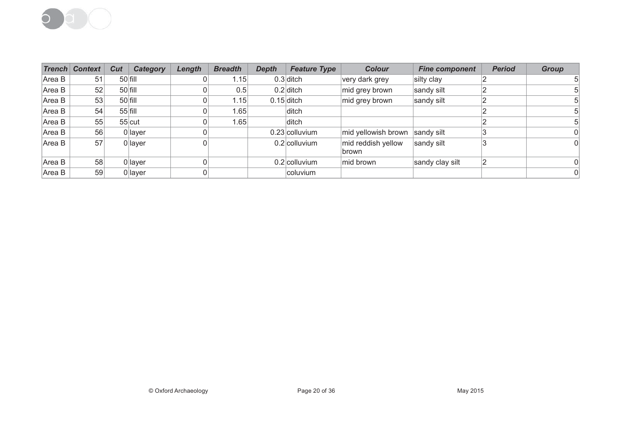

|        | <b>Trench Context</b> | Cut | <b>Category</b> | Length | <b>Breadth</b> | <b>Depth</b> | <b>Feature Type</b> | <b>Colour</b>               | <b>Fine component</b> | <b>Period</b> | Group |
|--------|-----------------------|-----|-----------------|--------|----------------|--------------|---------------------|-----------------------------|-----------------------|---------------|-------|
| Area B | 51                    |     | $50$ fill       |        | 1.15           |              | $0.3$ ditch         | very dark grey              | silty clay            |               |       |
| Area B | 52                    |     | 50 fill         |        | 0.5            |              | $0.2$ ditch         | mid grey brown              | sandy silt            |               |       |
| Area B | 53                    |     | $50$ fill       |        | 1.15           |              | $0.15$ ditch        | mid grey brown              | sandy silt            |               |       |
| Area B | 54                    |     | $55$ fill       |        | 1.65           |              | ditch               |                             |                       |               |       |
| Area B | 55                    |     | $55$ cut        |        | 1.65           |              | ditch               |                             |                       |               |       |
| Area B | 56                    |     | $0$ layer       |        |                |              | $0.23$ colluvium    | mid yellowish brown         | sandy silt            |               |       |
| Area B | 57                    |     | 0 layer         |        |                |              | 0.2 colluvium       | mid reddish yellow<br>brown | sandy silt            |               |       |
| Area B | 58                    |     | 0 layer         |        |                |              | $0.2$ colluvium     | mid brown                   | sandy clay silt       |               |       |
| Area B | 59                    |     | 0 layer         |        |                |              | coluvium            |                             |                       |               |       |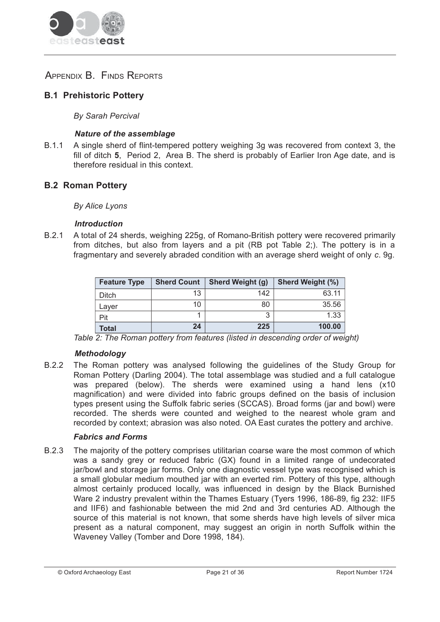

# APPENDIX B. FINDS REPORTS

# **B.1 Prehistoric Potterv**

**By Sarah Percival** 

## **Nature of the assemblage**

A single sherd of flint-tempered pottery weighing 3g was recovered from context 3, the  $B.1.1$ fill of ditch 5. Period 2. Area B. The sherd is probably of Earlier Iron Age date, and is therefore residual in this context.

## **B.2 Roman Pottery**

**By Alice Lyons** 

#### **Introduction**

R 2 1 A total of 24 sherds, weighing 225g, of Romano-British pottery were recovered primarily from ditches, but also from layers and a pit (RB pot Table 2;). The pottery is in a fragmentary and severely abraded condition with an average sherd weight of only c. 9g.

| <b>Feature Type</b> | <b>Sherd Count</b> | <b>Sherd Weight (g)</b> | <b>Sherd Weight (%)</b> |
|---------------------|--------------------|-------------------------|-------------------------|
| Ditch               | 13                 | 142                     | 63.11                   |
| Laver               | 10                 | 80                      | 35.56                   |
| Pit                 |                    |                         | 1.33                    |
| Total               | 24                 | 225                     | 100.00                  |

Table 2: The Roman pottery from features (listed in descending order of weight)

## **Methodology**

B.2.2 The Roman pottery was analysed following the guidelines of the Study Group for Roman Pottery (Darling 2004). The total assemblage was studied and a full catalogue was prepared (below). The sherds were examined using a hand lens (x10 magnification) and were divided into fabric groups defined on the basis of inclusion types present using the Suffolk fabric series (SCCAS). Broad forms (jar and bowl) were recorded. The sherds were counted and weighed to the nearest whole gram and recorded by context; abrasion was also noted. OA East curates the pottery and archive.

## **Fabrics and Forms**

 $B.2.3$ The majority of the pottery comprises utilitarian coarse ware the most common of which was a sandy grey or reduced fabric (GX) found in a limited range of undecorated jar/bowl and storage jar forms. Only one diagnostic vessel type was recognised which is a small globular medium mouthed jar with an everted rim. Pottery of this type, although almost certainly produced locally, was influenced in design by the Black Burnished Ware 2 industry prevalent within the Thames Estuary (Tyers 1996, 186-89, fig 232: IIF5 and IIF6) and fashionable between the mid 2nd and 3rd centuries AD. Although the source of this material is not known, that some sherds have high levels of silver mica present as a natural component, may suggest an origin in north Suffolk within the Waveney Valley (Tomber and Dore 1998, 184).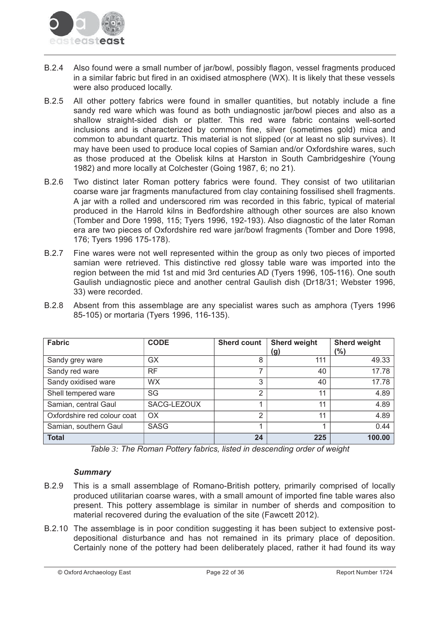

- $B.2.4$ Also found were a small number of jar/bowl, possibly flagon, vessel fragments produced in a similar fabric but fired in an oxidised atmosphere (WX). It is likely that these vessels were also produced locally.
- $B.2.5$ All other pottery fabrics were found in smaller quantities, but notably include a fine sandy red ware which was found as both undiagnostic jar/bowl pieces and also as a shallow straight-sided dish or platter. This red ware fabric contains well-sorted inclusions and is characterized by common fine, silver (sometimes gold) mica and common to abundant quartz. This material is not slipped (or at least no slip survives). It may have been used to produce local copies of Samian and/or Oxfordshire wares, such as those produced at the Obelisk kilns at Harston in South Cambridgeshire (Young 1982) and more locally at Colchester (Going 1987, 6; no 21).
- $B.2.6$ Two distinct later Roman pottery fabrics were found. They consist of two utilitarian coarse ware jar fragments manufactured from clay containing fossilised shell fragments. A jar with a rolled and underscored rim was recorded in this fabric, typical of material produced in the Harrold kilns in Bedfordshire although other sources are also known (Tomber and Dore 1998, 115; Tyers 1996, 192-193). Also diagnostic of the later Roman era are two pieces of Oxfordshire red ware jar/bowl fragments (Tomber and Dore 1998, 176; Tyers 1996 175-178).
- Fine wares were not well represented within the group as only two pieces of imported **B.2.7** samian were retrieved. This distinctive red glossy table ware was imported into the region between the mid 1st and mid 3rd centuries AD (Tyers 1996, 105-116). One south Gaulish undiagnostic piece and another central Gaulish dish (Dr18/31; Webster 1996, 33) were recorded.
- B 2 8 Absent from this assemblage are any specialist wares such as amphora (Tyers 1996) 85-105) or mortaria (Tyers 1996, 116-135).

| <b>Fabric</b>               | <b>CODE</b> | <b>Sherd count</b> | <b>Sherd weight</b><br>(g) | <b>Sherd weight</b><br>(%) |
|-----------------------------|-------------|--------------------|----------------------------|----------------------------|
| Sandy grey ware             | <b>GX</b>   | 8                  | 111                        | 49.33                      |
| Sandy red ware              | <b>RF</b>   | 7                  | 40                         | 17.78                      |
| Sandy oxidised ware         | <b>WX</b>   | 3                  | 40                         | 17.78                      |
| Shell tempered ware         | SG          | $\overline{2}$     | 11                         | 4.89                       |
| Samian, central Gaul        | SACG-LEZOUX |                    | 11                         | 4.89                       |
| Oxfordshire red colour coat | OX.         | 2                  | 11                         | 4.89                       |
| Samian, southern Gaul       | <b>SASG</b> |                    |                            | 0.44                       |
| <b>Total</b>                |             | 24                 | 225                        | 100.00                     |

Table 3: The Roman Pottery fabrics, listed in descending order of weight

## **Summary**

- **B.2.9** This is a small assemblage of Romano-British pottery, primarily comprised of locally produced utilitarian coarse wares, with a small amount of imported fine table wares also present. This pottery assemblage is similar in number of sherds and composition to material recovered during the evaluation of the site (Fawcett 2012).
- B.2.10 The assemblage is in poor condition suggesting it has been subject to extensive postdepositional disturbance and has not remained in its primary place of deposition. Certainly none of the pottery had been deliberately placed, rather it had found its way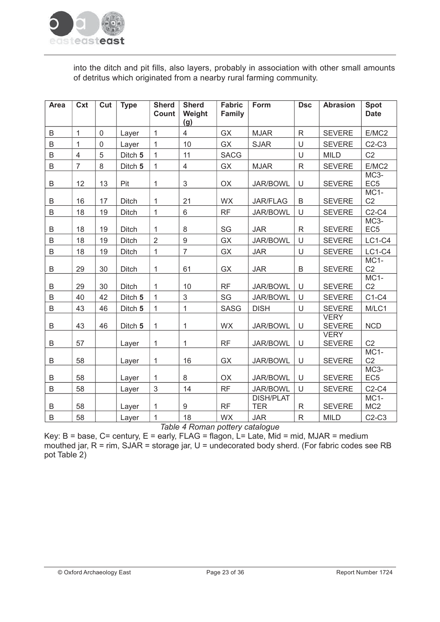

into the ditch and pit fills, also layers, probably in association with other small amounts of detritus which originated from a nearby rural farming community.

| <b>Area</b> | Cxt            | Cut         | <b>Type</b>  | <b>Sherd</b><br>Count | <b>Sherd</b><br>Weight<br>(g) | <b>Fabric</b><br>Family | Form                           | <b>Dsc</b>   | <b>Abrasion</b>              | <b>Spot</b><br><b>Date</b> |
|-------------|----------------|-------------|--------------|-----------------------|-------------------------------|-------------------------|--------------------------------|--------------|------------------------------|----------------------------|
| B           | $\mathbf{1}$   | $\mathbf 0$ | Layer        | $\mathbf{1}$          | $\overline{4}$                | <b>GX</b>               | <b>MJAR</b>                    | $\mathsf{R}$ | <b>SEVERE</b>                | E/MC2                      |
| B           | $\mathbf{1}$   | $\mathbf 0$ | Layer        | $\mathbf{1}$          | 10                            | GX                      | <b>SJAR</b>                    | $\cup$       | <b>SEVERE</b>                | $C2-C3$                    |
| B           | $\overline{4}$ | 5           | Ditch 5      | $\mathbf{1}$          | 11                            | <b>SACG</b>             |                                | U            | <b>MILD</b>                  | C <sub>2</sub>             |
| B           | $\overline{7}$ | 8           | Ditch 5      | $\mathbf{1}$          | $\overline{4}$                | GX                      | <b>MJAR</b>                    | $\mathsf{R}$ | <b>SEVERE</b>                | E/MC2                      |
| B           | 12             | 13          | Pit          | 1                     | $\sqrt{3}$                    | OX                      | <b>JAR/BOWL</b>                | U            | <b>SEVERE</b>                | $MC3-$<br>EC <sub>5</sub>  |
| B           | 16             | 17          | Ditch        | 1                     | 21                            | <b>WX</b>               | <b>JAR/FLAG</b>                | B            | <b>SEVERE</b>                | $MC1-$<br>C <sub>2</sub>   |
| B           | 18             | 19          | Ditch        | $\mathbf{1}$          | 6                             | <b>RF</b>               | <b>JAR/BOWL</b>                | U            | <b>SEVERE</b>                | $C2-C4$                    |
| B           | 18             | 19          | <b>Ditch</b> | 1                     | 8                             | SG                      | <b>JAR</b>                     | $\mathsf{R}$ | <b>SEVERE</b>                | MC3-<br>EC <sub>5</sub>    |
| B           | 18             | 19          | <b>Ditch</b> | $\overline{2}$        | $\overline{9}$                | <b>GX</b>               | <b>JAR/BOWL</b>                | U            | <b>SEVERE</b>                | $LC1-C4$                   |
| B           | 18             | 19          | <b>Ditch</b> | $\mathbf{1}$          | $\overline{7}$                | GX                      | <b>JAR</b>                     | U            | <b>SEVERE</b>                | $LC1-C4$                   |
| B           | 29             | 30          | <b>Ditch</b> | 1                     | 61                            | <b>GX</b>               | <b>JAR</b>                     | B            | <b>SEVERE</b>                | $MC1-$<br>C <sub>2</sub>   |
| B           | 29             | 30          | <b>Ditch</b> | 1                     | 10                            | <b>RF</b>               | <b>JAR/BOWL</b>                | U            | <b>SEVERE</b>                | $MC1-$<br>C <sub>2</sub>   |
| B           | 40             | 42          | Ditch 5      | $\mathbf{1}$          | 3                             | SG                      | <b>JAR/BOWL</b>                | $\cup$       | <b>SEVERE</b>                | $C1-C4$                    |
| B           | 43             | 46          | Ditch 5      | 1                     | $\mathbf{1}$                  | <b>SASG</b>             | <b>DISH</b>                    | U            | <b>SEVERE</b>                | M/LC1                      |
| B           | 43             | 46          | Ditch 5      | 1                     | 1                             | <b>WX</b>               | <b>JAR/BOWL</b>                | U            | <b>VERY</b><br><b>SEVERE</b> | <b>NCD</b>                 |
| B           | 57             |             | Layer        | 1                     | 1                             | <b>RF</b>               | <b>JAR/BOWL</b>                | U            | <b>VERY</b><br><b>SEVERE</b> | C <sub>2</sub>             |
| B           | 58             |             | Layer        | 1                     | 16                            | <b>GX</b>               | <b>JAR/BOWL</b>                | U            | <b>SEVERE</b>                | $MC1-$<br>C <sub>2</sub>   |
| B           | 58             |             | Layer        | 1                     | 8                             | <b>OX</b>               | <b>JAR/BOWL</b>                | U            | <b>SEVERE</b>                | MC3-<br>EC <sub>5</sub>    |
| B           | 58             |             | Layer        | 3                     | 14                            | <b>RF</b>               | <b>JAR/BOWL</b>                | U            | <b>SEVERE</b>                | $C2-C4$                    |
| B           | 58             |             | Layer        | 1                     | 9                             | <b>RF</b>               | <b>DISH/PLAT</b><br><b>TER</b> | $\mathsf{R}$ | <b>SEVERE</b>                | MC1-<br>MC <sub>2</sub>    |
| B           | 58             |             | Layer        | 1                     | 18                            | WX                      | <b>JAR</b>                     | $\mathsf{R}$ | <b>MILD</b>                  | $C2-C3$                    |

Table 4 Roman pottery catalogue

Key: B = base, C= century, E = early, FLAG = flagon, L= Late, Mid = mid, MJAR = medium mouthed jar,  $R = r$ im, SJAR = storage jar, U = undecorated body sherd. (For fabric codes see RB pot Table 2)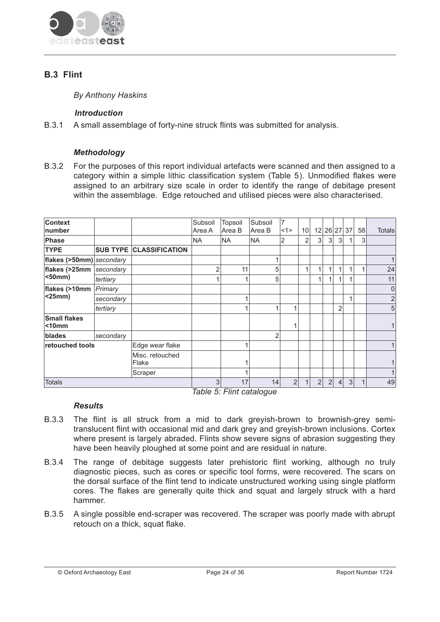

# **B.3 Flint**

**By Anthony Haskins** 

## **Introduction**

 $B.3.1$ A small assemblage of forty-nine struck flints was submitted for analysis.

## **Methodoloav**

B.3.2 For the purposes of this report individual artefacts were scanned and then assigned to a category within a simple lithic classification system (Table 5). Unmodified flakes were assigned to an arbitrary size scale in order to identify the range of debitage present within the assemblage. Edge retouched and utilised pieces were also characterised.

| <b>Context</b><br>number           |           |                                | Subsoil<br>Area A | <b>Topsoil</b><br>Area B | Subsoil<br>Area B | 7<br><1>       | 10 <sup>1</sup> |                |                |                | 12 26 27 37 | 58 | Totals |
|------------------------------------|-----------|--------------------------------|-------------------|--------------------------|-------------------|----------------|-----------------|----------------|----------------|----------------|-------------|----|--------|
| <b>Phase</b>                       |           |                                | <b>NA</b>         | <b>NA</b>                | <b>NA</b>         | $\overline{2}$ | $\overline{2}$  | 3 <sup>1</sup> | 3 <sup>1</sup> | 3 <sup>1</sup> | 1           | 3  |        |
| <b>TYPE</b>                        |           | <b>SUB TYPE CLASSIFICATION</b> |                   |                          |                   |                |                 |                |                |                |             |    |        |
| flakes (>50mm) secondary           |           |                                |                   |                          |                   |                |                 |                |                |                |             |    |        |
| flakes (>25mm                      | secondary |                                | 2                 | 11                       | 5                 |                | 1               | 1              |                |                | 1           | 1  | 24     |
| $50mm$                             | tertiary  |                                |                   |                          | 5                 |                |                 | 1              |                |                |             |    | 11     |
| flakes (>10mm                      | Primary   |                                |                   |                          |                   |                |                 |                |                |                |             |    | 0      |
| $<$ 25mm $)$                       | secondary |                                |                   |                          |                   |                |                 |                |                |                | 1           |    | 2      |
|                                    | tertiary  |                                |                   |                          | 4                 | 4              |                 |                |                | $\overline{2}$ |             |    | 5      |
| <b>Small flakes</b><br>$<$ 10 $mm$ |           |                                |                   |                          |                   |                |                 |                |                |                |             |    |        |
| blades                             | secondary |                                |                   |                          | $\overline{2}$    |                |                 |                |                |                |             |    |        |
| retouched tools                    |           | Edge wear flake                |                   |                          |                   |                |                 |                |                |                |             |    |        |
|                                    |           | Misc. retouched<br>Flake       |                   |                          |                   |                |                 |                |                |                |             |    |        |
|                                    |           | Scraper                        |                   |                          |                   |                |                 |                |                |                |             |    |        |
| <b>Totals</b>                      |           |                                | 3 <sub>l</sub>    | 17                       | 14                | 2              |                 | $\overline{2}$ | 2 <sup>1</sup> | 4 <sup>1</sup> | 3           |    | 49     |

Table 5: Flint catalogue

## **Results**

- B 3 3 The flint is all struck from a mid to dark greyish-brown to brownish-grey semitranslucent flint with occasional mid and dark grey and greyish-brown inclusions. Cortex where present is largely abraded. Flints show severe signs of abrasion suggesting they have been heavily ploughed at some point and are residual in nature.
- The range of debitage suggests later prehistoric flint working, although no truly B.3.4 diagnostic pieces, such as cores or specific tool forms, were recovered. The scars on the dorsal surface of the flint tend to indicate unstructured working using single platform cores. The flakes are generally quite thick and squat and largely struck with a hard hammer.
- B.3.5 A single possible end-scraper was recovered. The scraper was poorly made with abrupt retouch on a thick, squat flake.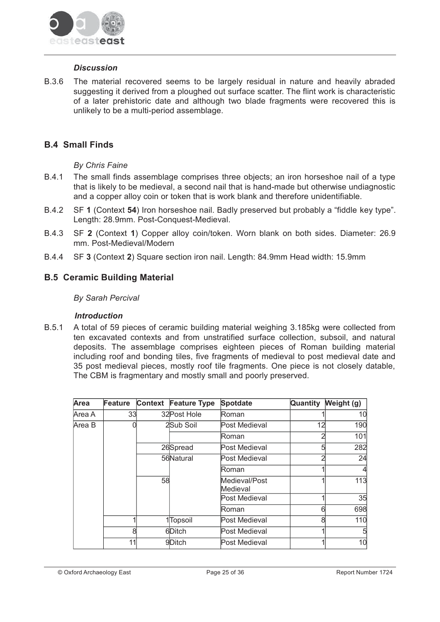

#### **Discussion**

**B.3.6** The material recovered seems to be largely residual in nature and heavily abraded suggesting it derived from a ploughed out surface scatter. The flint work is characteristic of a later prehistoric date and although two blade fragments were recovered this is unlikely to be a multi-period assemblage.

# **B.4 Small Finds**

## **By Chris Faine**

- **B.4.1** The small finds assemblage comprises three objects; an iron horseshoe nail of a type that is likely to be medieval, a second nail that is hand-made but otherwise undiagnostic and a copper alloy coin or token that is work blank and therefore unidentifiable.
- B.4.2 SF 1 (Context 54) Iron horseshoe nail. Badly preserved but probably a "fiddle key type". Length: 28.9mm. Post-Conquest-Medieval.
- **B.4.3** SF 2 (Context 1) Copper alloy coin/token. Worn blank on both sides. Diameter: 26.9 mm. Post-Medieval/Modern
- SF 3 (Context 2) Square section iron nail. Length: 84.9mm Head width: 15.9mm **B44**

## **B.5 Ceramic Building Material**

#### **By Sarah Percival**

#### **Introduction**

 $B.5.1$ A total of 59 pieces of ceramic building material weighing 3.185kg were collected from ten excavated contexts and from unstratified surface collection, subsoil, and natural deposits. The assemblage comprises eighteen pieces of Roman building material including roof and bonding tiles, five fragments of medieval to post medieval date and 35 post medieval pieces, mostly roof tile fragments. One piece is not closely datable, The CBM is fragmentary and mostly small and poorly preserved.

| Area   | Feature | <b>Context</b> | <b>Feature Type</b>   | <b>Spotdate</b>           | Quantity | Weight (g) |
|--------|---------|----------------|-----------------------|---------------------------|----------|------------|
| Area A | 33      |                | 32 Post Hole          | Roman                     |          | 10         |
| Area B |         |                | 2Sub Soil             | Post Medieval             | 12       | 190        |
|        |         |                |                       | Roman                     |          | 101        |
|        |         |                | 26Spread              | Post Medieval             |          | 282        |
|        |         |                | 56Natural             | Post Medieval             |          | 24         |
|        |         |                |                       | Roman                     |          |            |
|        |         | 58             |                       | Medieval/Post<br>Medieval |          | 113        |
|        |         |                |                       | Post Medieval             |          | 35         |
|        |         |                |                       | Roman                     | ีค       | 698        |
|        |         |                | 1 <sup>T</sup> opsoil | Post Medieval             | 8        | 110        |
|        | 8       |                | 6Ditch                | Post Medieval             |          | 5          |
|        | 11      |                | 9Ditch                | Post Medieval             |          | 10         |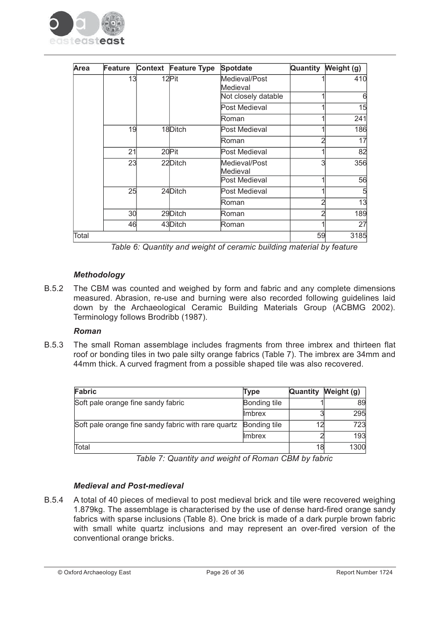

| Area  | Feature | Context Feature Type | <b>Spotdate</b>           | Quantity | Weight (g) |
|-------|---------|----------------------|---------------------------|----------|------------|
|       | 13      | 12Pit                | Medieval/Post<br>Medieval |          | 410        |
|       |         |                      | Not closely datable       |          | 6          |
|       |         |                      | Post Medieval             |          | 15         |
|       |         |                      | Roman                     |          | 241        |
|       | 19      | 18Ditch              | Post Medieval             |          | 186        |
|       |         |                      | Roman                     |          | 17         |
|       | 21      | 20Pit                | Post Medieval             |          | 82         |
|       | 23      | 22Ditch              | Medieval/Post<br>Medieval | 3        | 356        |
|       |         |                      | Post Medieval             |          | 56         |
|       | 25      | 24Ditch              | Post Medieval             |          | 5          |
|       |         |                      | Roman                     |          | 13         |
|       | 30      | 29Ditch              | Roman                     | ົ        | 189        |
|       | 46      | 43Ditch              | Roman                     |          | 27         |
| Total |         |                      |                           | 59       | 3185       |

Table 6: Quantity and weight of ceramic building material by feature

## **Methodology**

B.5.2 The CBM was counted and weighed by form and fabric and any complete dimensions measured. Abrasion, re-use and burning were also recorded following guidelines laid down by the Archaeological Ceramic Building Materials Group (ACBMG 2002). Terminology follows Brodribb (1987).

## Roman

The small Roman assemblage includes fragments from three imbrex and thirteen flat B.5.3 roof or bonding tiles in two pale silty orange fabrics (Table 7). The imbrex are 34mm and 44mm thick. A curved fragment from a possible shaped tile was also recovered.

| Fabric                                              | Type           | Quantity | Weight (g) |
|-----------------------------------------------------|----------------|----------|------------|
| Soft pale orange fine sandy fabric                  | Bonding tile   |          | 89         |
|                                                     | <b>I</b> mbrex |          | 295        |
| Soft pale orange fine sandy fabric with rare quartz | Bonding tile   |          | 723        |
|                                                     | <b>I</b> mbrex |          | 193        |
| Total                                               |                | 18       | 1300       |

Table 7: Quantity and weight of Roman CBM by fabric

## **Medieval and Post-medieval**

**B.5.4** A total of 40 pieces of medieval to post medieval brick and tile were recovered weighing 1.879kg. The assemblage is characterised by the use of dense hard-fired orange sandy fabrics with sparse inclusions (Table 8). One brick is made of a dark purple brown fabric with small white quartz inclusions and may represent an over-fired version of the conventional orange bricks.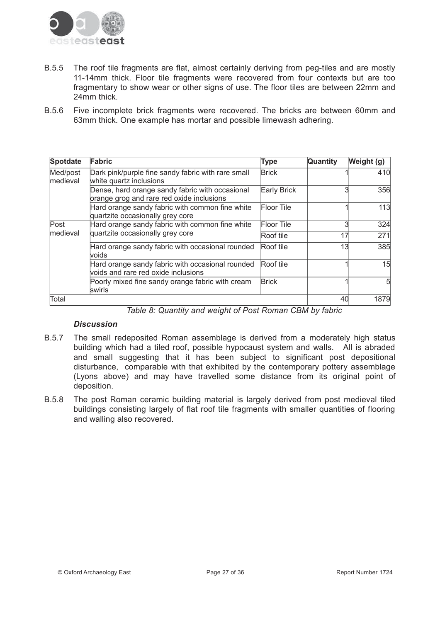

- **B.5.5** The roof tile fragments are flat, almost certainly deriving from peg-tiles and are mostly 11-14mm thick. Floor tile fragments were recovered from four contexts but are too fragmentary to show wear or other signs of use. The floor tiles are between 22mm and 24mm thick.
- Five incomplete brick fragments were recovered. The bricks are between 60mm and  $B.5.6$ 63mm thick. One example has mortar and possible limewash adhering.

| <b>Spotdate</b>      | Fabric                                                                                       | Type              | Quantity | Weight (g) |
|----------------------|----------------------------------------------------------------------------------------------|-------------------|----------|------------|
| Med/post<br>medieval | Dark pink/purple fine sandy fabric with rare small<br>white quartz inclusions                | <b>Brick</b>      |          | 410        |
|                      | Dense, hard orange sandy fabric with occasional<br>orange grog and rare red oxide inclusions | Early Brick       |          | 356        |
|                      | Hard orange sandy fabric with common fine white<br>quartzite occasionally grey core          | <b>Floor Tile</b> |          | 113        |
| Post                 | Hard orange sandy fabric with common fine white                                              | <b>Floor Tile</b> |          | 324        |
| medieval             | quartzite occasionally grey core                                                             | Roof tile         | 17       | 271        |
|                      | Hard orange sandy fabric with occasional rounded<br>voids                                    | Roof tile         | 13       | 385        |
|                      | Hard orange sandy fabric with occasional rounded<br>voids and rare red oxide inclusions      | Roof tile         |          | 15         |
|                      | Poorly mixed fine sandy orange fabric with cream<br>swirls                                   | <b>Brick</b>      |          | 5          |
| Total                |                                                                                              |                   | 40       | 1879       |

Table 8: Quantity and weight of Post Roman CBM by fabric

## **Discussion**

- **B57** The small redeposited Roman assemblage is derived from a moderately high status building which had a tiled roof, possible hypocaust system and walls. All is abraded and small suggesting that it has been subject to significant post depositional disturbance, comparable with that exhibited by the contemporary pottery assemblage (Lyons above) and may have travelled some distance from its original point of deposition.
- The post Roman ceramic building material is largely derived from post medieval tiled **B.5.8** buildings consisting largely of flat roof tile fragments with smaller guantities of flooring and walling also recovered.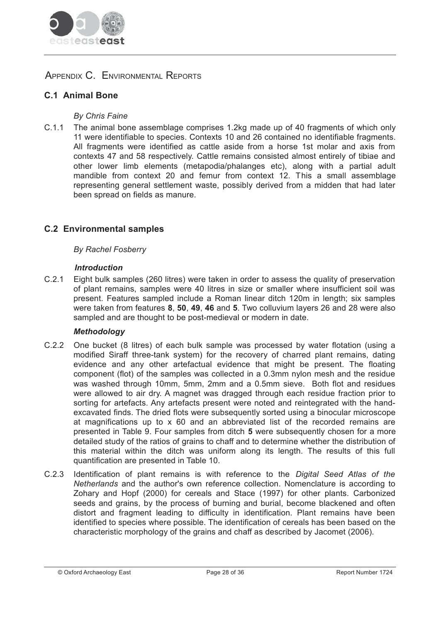

# APPENDIX C. ENVIRONMENTAL REPORTS

# **C.1 Animal Bone**

## **By Chris Faine**

 $C.11$ The animal bone assemblage comprises 1.2kg made up of 40 fragments of which only 11 were identifiable to species. Contexts 10 and 26 contained no identifiable fragments. All fragments were identified as cattle aside from a horse 1st molar and axis from contexts 47 and 58 respectively. Cattle remains consisted almost entirely of tibiae and other lower limb elements (metapodia/phalanges etc), along with a partial adult mandible from context 20 and femur from context 12. This a small assemblage representing general settlement waste, possibly derived from a midden that had later been spread on fields as manure.

# **C.2 Environmental samples**

## **By Rachel Fosberry**

#### **Introduction**

 $C.2.1$ Eight bulk samples (260 litres) were taken in order to assess the quality of preservation of plant remains, samples were 40 litres in size or smaller where insufficient soil was present. Features sampled include a Roman linear ditch 120m in length; six samples were taken from features 8, 50, 49, 46 and 5. Two colluvium layers 26 and 28 were also sampled and are thought to be post-medieval or modern in date.

## **Methodology**

- $C.22$ One bucket (8 litres) of each bulk sample was processed by water flotation (using a modified Siraff three-tank system) for the recovery of charred plant remains, dating evidence and any other artefactual evidence that might be present. The floating component (flot) of the samples was collected in a 0.3mm nylon mesh and the residue was washed through 10mm, 5mm, 2mm and a 0.5mm sieve. Both flot and residues were allowed to air dry. A magnet was dragged through each residue fraction prior to sorting for artefacts. Any artefacts present were noted and reintegrated with the handexcavated finds. The dried flots were subsequently sorted using a binocular microscope at magnifications up to x 60 and an abbreviated list of the recorded remains are presented in Table 9. Four samples from ditch 5 were subsequently chosen for a more detailed study of the ratios of grains to chaff and to determine whether the distribution of this material within the ditch was uniform along its length. The results of this full quantification are presented in Table 10.
- $C.23$ Identification of plant remains is with reference to the *Digital Seed Atlas of the* Netherlands and the author's own reference collection. Nomenclature is according to Zohary and Hopf (2000) for cereals and Stace (1997) for other plants. Carbonized seeds and grains, by the process of burning and burial, become blackened and often distort and fragment leading to difficulty in identification. Plant remains have been identified to species where possible. The identification of cereals has been based on the characteristic morphology of the grains and chaff as described by Jacomet (2006).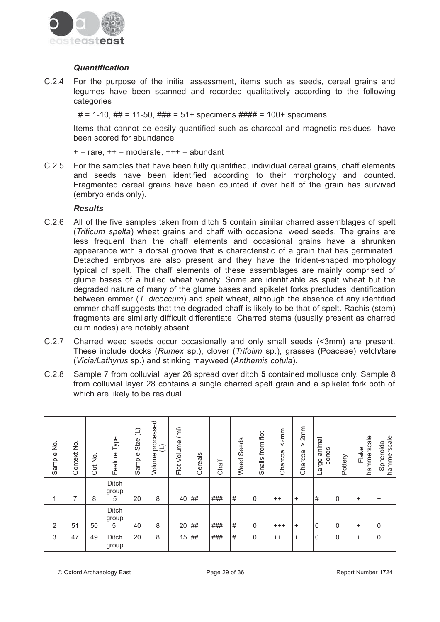

#### **Quantification**

 $C.2.4$ For the purpose of the initial assessment, items such as seeds, cereal grains and legumes have been scanned and recorded qualitatively according to the following categories

 $# = 1-10$ .  $## = 11-50$ .  $### = 51+$  specimens  $#### = 100+$  specimens

Items that cannot be easily quantified such as charcoal and magnetic residues have been scored for abundance

 $+$  = rare.  $++$  = moderate.  $++$  = abundant

 $C.2.5$ For the samples that have been fully quantified, individual cereal grains, chaff elements and seeds have been identified according to their morphology and counted. Fragmented cereal grains have been counted if over half of the grain has survived (embryo ends only).

#### **Results**

- C.2.6 All of the five samples taken from ditch 5 contain similar charred assemblages of spelt (Triticum spelta) wheat grains and chaff with occasional weed seeds. The grains are less frequent than the chaff elements and occasional grains have a shrunken appearance with a dorsal groove that is characteristic of a grain that has germinated. Detached embryos are also present and they have the trident-shaped morphology typical of spelt. The chaff elements of these assemblages are mainly comprised of glume bases of a hulled wheat variety. Some are identifiable as spelt wheat but the degraded nature of many of the glume bases and spikelet forks precludes identification between emmer (T. dicoccum) and spelt wheat, although the absence of any identified emmer chaff suggests that the degraded chaff is likely to be that of spelt. Rachis (stem) fragments are similarly difficult differentiate. Charred stems (usually present as charred culm nodes) are notably absent.
- $C.2.7$ Charred weed seeds occur occasionally and only small seeds (<3mm) are present. These include docks (Rumex sp.), clover (Trifolim sp.), grasses (Poaceae) vetch/tare (Vicia/Lathyrus sp.) and stinking mayweed (Anthemis cotula).
- Sample 7 from colluvial layer 26 spread over ditch 5 contained molluscs only. Sample 8  $C.2.8$ from colluvial layer 28 contains a single charred spelt grain and a spikelet fork both of which are likely to be residual.

| Sample No.     | ş<br>Context | $\frac{1}{2}$<br>Cut | Type<br>Feature     | $\bigoplus$<br>Size<br>Sample | processed<br>$\bigcup$<br>Volume | $\left(\overline{m}\right)$<br>Flot Volume | Cereals | Chaff | Seeds<br>Weed | Snails from flot | < 2mm<br>Charcoal | 2mm<br>٨<br>Charcoal | animal<br>bones<br>Large | Pottery | hammerscale<br>Flake | hammerscale<br>Spheroidal |
|----------------|--------------|----------------------|---------------------|-------------------------------|----------------------------------|--------------------------------------------|---------|-------|---------------|------------------|-------------------|----------------------|--------------------------|---------|----------------------|---------------------------|
| 1              | 7            | 8                    | Ditch<br>group<br>5 | 20                            | 8                                | 40                                         | ##      | ###   | #             | 0                | $^{++}$           | $\ddot{}$            | #                        | 0       | $\ddot{}$            | $+$                       |
| $\overline{2}$ | 51           | 50                   | Ditch<br>group<br>5 | 40                            | 8                                | 20                                         | ##      | ###   | #             | 0                | $^{+++}$          | $\ddot{}$            | 0                        | 0       | $\ddot{}$            | $\mathbf{0}$              |
| 3              | 47           | 49                   | Ditch<br>group      | 20                            | 8                                | 15                                         | ##      | ###   | #             | 0                | $^{++}$           | $\ddot{}$            | 0                        | 0       | $\ddot{}$            | $\mathbf 0$               |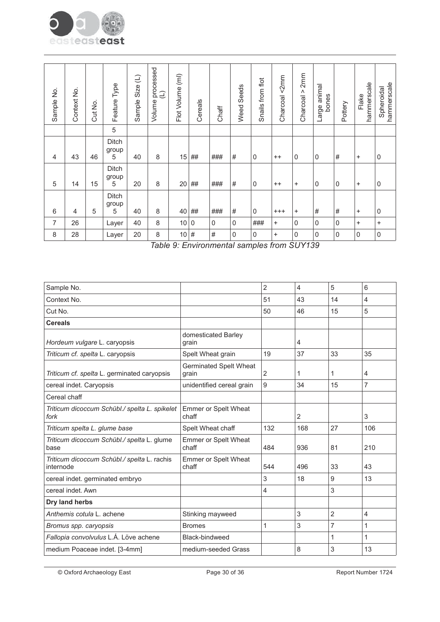

| Sample No.     | Context No.    | Cut No. | Type<br>Feature <sup>-</sup> | $\widehat{\mathord{\sqcup}}$<br>Size<br>Sample | processed<br>$\bigoplus$<br>Volume | Flot Volume (ml) | Cereals    | Chaff | Seeds<br>Weed       | Snails from flot | < 2mm<br>Charcoal | 2mm<br>Λ<br>Charcoal | Large animal<br>bones | Pottery   | hammerscale<br>Flake | hammerscale<br>Spheroidal |
|----------------|----------------|---------|------------------------------|------------------------------------------------|------------------------------------|------------------|------------|-------|---------------------|------------------|-------------------|----------------------|-----------------------|-----------|----------------------|---------------------------|
|                |                |         | 5                            |                                                |                                    |                  |            |       |                     |                  |                   |                      |                       |           |                      |                           |
| $\overline{4}$ | 43             | 46      | Ditch<br>group<br>5          | 40                                             | 8                                  | 15               | ##         | ###   | #                   | $\mathbf 0$      | $^{++}$           | $\Omega$             | 0                     | $\#$      | $\ddot{}$            | $\mathbf 0$               |
| 5              | 14             | 15      | Ditch<br>group<br>5          | 20                                             | 8                                  | 20               | ##         | ###   | #                   | $\mathbf 0$      | $++$              | $\ddot{}$            | $\mathbf 0$           | $\pmb{0}$ | $\ddot{}$            | $\mathbf 0$               |
| $\,6\,$        | $\overline{4}$ | 5       | Ditch<br>group<br>5          | 40                                             | 8                                  | 40               | ##         | ###   | $\#$                | 0                | $^{+++}$          | $\ddot{}$            | $\#$                  | $\#$      | $\ddot{}$            | $\mathbf 0$               |
| 7              | 26             |         | Layer                        | 40                                             | 8                                  | 10 0             |            | 0     | $\mathsf{O}\xspace$ | ###              | $\ddot{}$         | $\mathbf 0$          | 0                     | 0         | $\ddot{}$            | $\ddot{}$                 |
| 8              | 28             |         | Layer                        | 20                                             | 8                                  | 10               | $\vert \#$ | #     | $\mathbf 0$         | 0                | $\ddot{}$         | $\Omega$             | 0                     | 0         | $\mathbf 0$          | $\mathbf 0$               |

Table 9: Environmental samples from SUY139

|                                        | $\overline{2}$ | 4   | 5              | 6              |
|----------------------------------------|----------------|-----|----------------|----------------|
|                                        | 51             | 43  | 14             | 4              |
|                                        | 50             | 46  | 15             | 5              |
|                                        |                |     |                |                |
| domesticated Barley<br>grain           |                | 4   |                |                |
| Spelt Wheat grain                      | 19             | 37  | 33             | 35             |
| <b>Germinated Spelt Wheat</b><br>grain | 2              | 1   | 1              | 4              |
| unidentified cereal grain              | 9              | 34  | 15             | $\overline{7}$ |
|                                        |                |     |                |                |
| <b>Emmer or Spelt Wheat</b><br>chaff   |                | 2   |                | 3              |
| Spelt Wheat chaff                      | 132            | 168 | 27             | 106            |
| <b>Emmer or Spelt Wheat</b><br>chaff   | 484            | 936 | 81             | 210            |
| Emmer or Spelt Wheat<br>chaff          | 544            | 496 | 33             | 43             |
|                                        | 3              | 18  | 9              | 13             |
|                                        | 4              |     | 3              |                |
|                                        |                |     |                |                |
| Stinking mayweed                       |                | 3   | $\overline{2}$ | 4              |
| <b>Bromes</b>                          | 1              | 3   | 7              | 1              |
| Black-bindweed                         |                |     | 1              | 1              |
| medium-seeded Grass                    |                | 8   | 3              | 13             |
|                                        |                |     |                |                |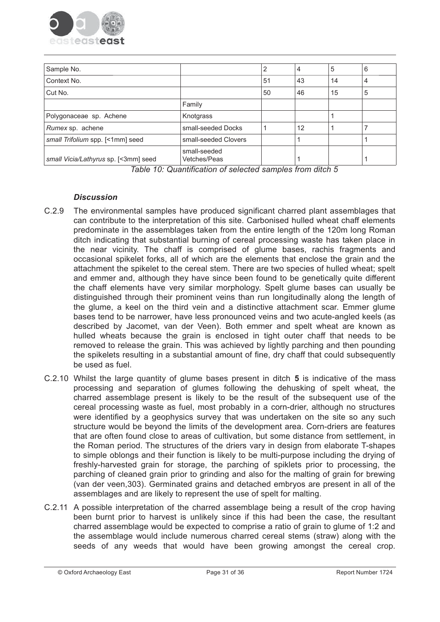

| Sample No.                           |                              | 2  | 4  | 5  | 6 |
|--------------------------------------|------------------------------|----|----|----|---|
| Context No.                          |                              | 51 | 43 | 14 | 4 |
| Cut No.                              |                              | 50 | 46 | 15 | 5 |
|                                      | Family                       |    |    |    |   |
| Polygonaceae sp. Achene              | Knotgrass                    |    |    |    |   |
| Rumex sp. achene                     | small-seeded Docks           |    | 12 |    |   |
| small Trifolium spp. [<1mm] seed     | small-seeded Clovers         |    |    |    |   |
| small Vicia/Lathyrus sp. [<3mm] seed | small-seeded<br>Vetches/Peas |    | 1  |    | и |

Table 10: Quantification of selected samples from ditch 5

## **Discussion**

- $C.2.9$ The environmental samples have produced significant charred plant assemblages that can contribute to the interpretation of this site. Carbonised hulled wheat chaff elements predominate in the assemblages taken from the entire length of the 120m long Roman ditch indicating that substantial burning of cereal processing waste has taken place in the near vicinity. The chaff is comprised of glume bases, rachis fragments and occasional spikelet forks, all of which are the elements that enclose the grain and the attachment the spikelet to the cereal stem. There are two species of hulled wheat; spelt and emmer and, although they have since been found to be genetically quite different the chaff elements have very similar morphology. Spelt glume bases can usually be distinguished through their prominent veins than run longitudinally along the length of the glume, a keel on the third vein and a distinctive attachment scar. Emmer glume bases tend to be narrower, have less pronounced veins and two acute-angled keels (as described by Jacomet, van der Veen). Both emmer and spelt wheat are known as hulled wheats because the grain is enclosed in tight outer chaff that needs to be removed to release the grain. This was achieved by lightly parching and then pounding the spikelets resulting in a substantial amount of fine, dry chaff that could subsequently be used as fuel.
- C.2.10 Whilst the large quantity of glume bases present in ditch 5 is indicative of the mass processing and separation of glumes following the dehusking of spelt wheat, the charred assemblage present is likely to be the result of the subsequent use of the cereal processing waste as fuel, most probably in a corn-drier, although no structures were identified by a geophysics survey that was undertaken on the site so any such structure would be beyond the limits of the development area. Corn-driers are features that are often found close to areas of cultivation, but some distance from settlement, in the Roman period. The structures of the driers vary in design from elaborate T-shapes to simple oblongs and their function is likely to be multi-purpose including the drying of freshly-harvested grain for storage, the parching of spiklets prior to processing, the parching of cleaned grain prior to grinding and also for the malting of grain for brewing (van der veen, 303). Germinated grains and detached embryos are present in all of the assemblages and are likely to represent the use of spelt for malting.
- C.2.11 A possible interpretation of the charred assemblage being a result of the crop having been burnt prior to harvest is unlikely since if this had been the case, the resultant charred assemblage would be expected to comprise a ratio of grain to glume of 1:2 and the assemblage would include numerous charred cereal stems (straw) along with the seeds of any weeds that would have been growing amongst the cereal crop.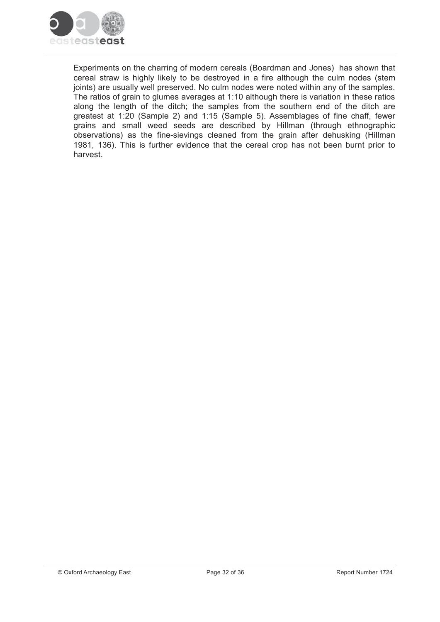

Experiments on the charring of modern cereals (Boardman and Jones) has shown that cereal straw is highly likely to be destroyed in a fire although the culm nodes (stem joints) are usually well preserved. No culm nodes were noted within any of the samples. The ratios of grain to glumes averages at 1:10 although there is variation in these ratios along the length of the ditch; the samples from the southern end of the ditch are greatest at 1:20 (Sample 2) and 1:15 (Sample 5). Assemblages of fine chaff, fewer grains and small weed seeds are described by Hillman (through ethnographic observations) as the fine-sievings cleaned from the grain after dehusking (Hillman 1981, 136). This is further evidence that the cereal crop has not been burnt prior to harvest.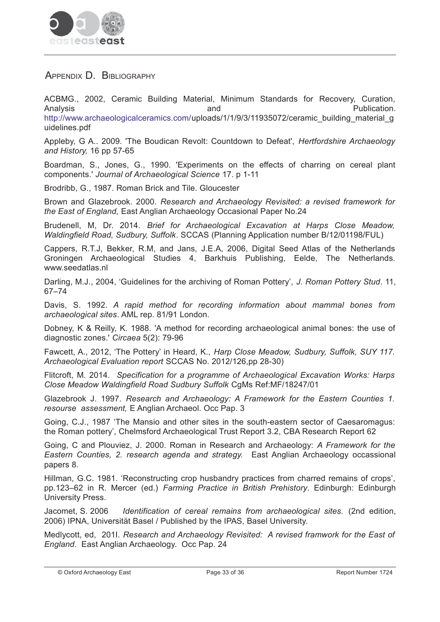

# APPENDIX D. BIBLIOGRAPHY

ACBMG., 2002, Ceramic Building Material, Minimum Standards for Recovery, Curation, and Publication. Analysis http://www.archaeologicalceramics.com/uploads/1/1/9/3/11935072/ceramic building material g uidelines.pdf

Appleby, G A.. 2009. 'The Boudican Revolt: Countdown to Defeat', Hertfordshire Archaeology and History, 16 pp 57-65

Boardman, S., Jones, G., 1990. 'Experiments on the effects of charring on cereal plant components.' Journal of Archaeological Science 17. p 1-11

Brodribb, G., 1987. Roman Brick and Tile. Gloucester

Brown and Glazebrook. 2000. Research and Archaeology Revisited: a revised framework for the East of England, East Anglian Archaeology Occasional Paper No.24

Brudenell, M, Dr. 2014. Brief for Archaeological Excavation at Harps Close Meadow, Waldingfield Road, Sudbury, Suffolk. SCCAS (Planning Application number B/12/01198/FUL)

Cappers, R.T.J, Bekker, R.M, and Jans, J.E.A, 2006, Digital Seed Atlas of the Netherlands Groningen Archaeological Studies 4, Barkhuis Publishing, Eelde, The Netherlands. www.seedatlas.nl

Darling, M.J., 2004, 'Guidelines for the archiving of Roman Pottery', J. Roman Pottery Stud. 11,  $67 - 74$ 

Davis, S. 1992. A rapid method for recording information about mammal bones from archaeological sites. AML rep. 81/91 London.

Dobney, K & Reilly, K. 1988. 'A method for recording archaeological animal bones: the use of diagnostic zones.' Circaea 5(2): 79-96

Fawcett, A., 2012. 'The Pottery' in Heard, K., Harp Close Meadow, Sudbury, Suffolk, SUY 117. Archaeological Evaluation report SCCAS No. 2012/126,pp 28-30)

Flitcroft, M. 2014. Specification for a programme of Archaeological Excavation Works: Harps Close Meadow Waldingfield Road Sudbury Suffolk CgMs Ref:MF/18247/01

Glazebrook J. 1997. Research and Archaeology: A Framework for the Eastern Counties 1. resourse assessment. E Anglian Archaeol. Occ Pap. 3

Going, C.J., 1987 'The Mansio and other sites in the south-eastern sector of Caesaromagus: the Roman pottery', Chelmsford Archaeological Trust Report 3.2, CBA Research Report 62

Going, C and Plouviez, J. 2000. Roman in Research and Archaeology: A Framework for the Eastern Counties, 2. research agenda and strategy. East Anglian Archaeology occassional papers 8.

Hillman, G.C. 1981. 'Reconstructing crop husbandry practices from charred remains of crops', pp.123-62 in R. Mercer (ed.) Farming Practice in British Prehistory. Edinburgh: Edinburgh University Press.

Identification of cereal remains from archaeological sites. (2nd edition, Jacomet, S. 2006 2006) IPNA, Universität Basel / Published by the IPAS, Basel University.

Medivcott, ed. 2011. Research and Archaeology Revisited: A revised framwork for the East of England. East Anglian Archaeology. Occ Pap. 24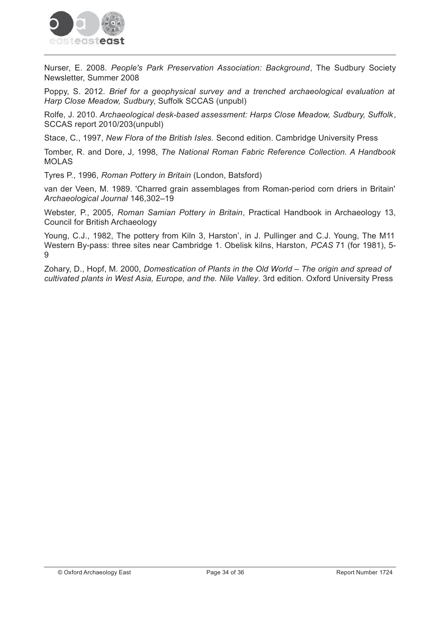

Nurser, E. 2008. People's Park Preservation Association: Background, The Sudbury Society Newsletter, Summer 2008

Poppy, S. 2012. Brief for a geophysical survey and a trenched archaeological evaluation at Harp Close Meadow, Sudbury, Suffolk SCCAS (unpubl)

Rolfe, J. 2010. Archaeological desk-based assessment: Harps Close Meadow, Sudbury, Suffolk, SCCAS report 2010/203(unpubl)

Stace, C., 1997, New Flora of the British Isles. Second edition. Cambridge University Press

Tomber, R. and Dore, J. 1998. The National Roman Fabric Reference Collection. A Handbook **MOLAS** 

Tyres P., 1996, Roman Pottery in Britain (London, Batsford)

van der Veen, M. 1989. 'Charred grain assemblages from Roman-period corn driers in Britain' Archaeological Journal 146,302-19

Webster, P., 2005, Roman Samian Pottery in Britain, Practical Handbook in Archaeology 13, **Council for British Archaeology** 

Young, C.J., 1982, The pottery from Kiln 3, Harston', in J. Pullinger and C.J. Young, The M11 Western By-pass: three sites near Cambridge 1. Obelisk kilns, Harston, *PCAS* 71 (for 1981), 5-9

Zohary, D., Hopf, M. 2000, Domestication of Plants in the Old World – The origin and spread of cultivated plants in West Asia, Europe, and the. Nile Valley. 3rd edition. Oxford University Press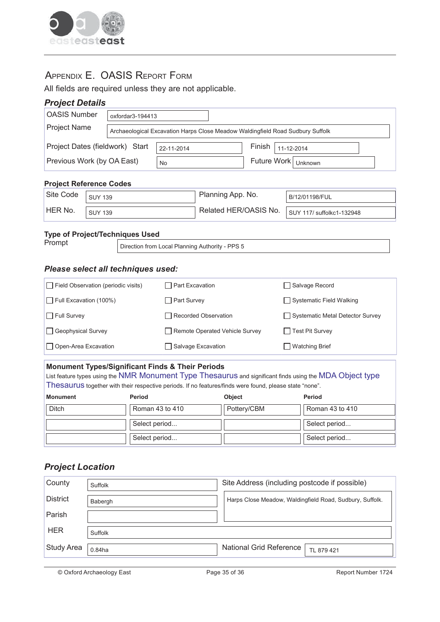

# APPENDIX E. OASIS REPORT FORM

All fields are required unless they are not applicable.

## **Project Details**

| <b>OASIS Number</b><br>$oxfordar3-194413$                               |                                                                                |    |                                  |  |  |  |  |
|-------------------------------------------------------------------------|--------------------------------------------------------------------------------|----|----------------------------------|--|--|--|--|
| <b>Project Name</b>                                                     | Archaeological Excavation Harps Close Meadow Waldingfield Road Sudbury Suffolk |    |                                  |  |  |  |  |
| Project Dates (fieldwork) Start<br>Finish  <br>11-12-2014<br>22-11-2014 |                                                                                |    |                                  |  |  |  |  |
| Previous Work (by OA East)                                              |                                                                                | No | Future Work   <sub>Unknown</sub> |  |  |  |  |

#### **Project Reference Codes**

| Site Code | <b>SUY 139</b> | Planning App. No.     | B/12/01198/FUL            |
|-----------|----------------|-----------------------|---------------------------|
| HER No.   | <b>SUY 139</b> | Related HER/OASIS No. | SUY 117/ suffolkc1-132948 |

#### **Type of Project/Techniques Used**

Prompt

Direction from Local Planning Authority - PPS 5

#### **Please select all techniques used:**

| $\Box$ Field Observation (periodic visits) | $\Box$ Part Excavation         | Salvage Record                   |
|--------------------------------------------|--------------------------------|----------------------------------|
| $\Box$ Full Excavation (100%)              | $\Box$ Part Survey             | Systematic Field Walking         |
| $\Box$ Full Survey                         | Recorded Observation           | Systematic Metal Detector Survey |
| Geophysical Survey                         | Remote Operated Vehicle Survey | Test Pit Survey                  |
| $\Box$ Open-Area Excavation                | □ Salvage Excavation           | ◯ Watching Brief                 |

#### **Monument Types/Significant Finds & Their Periods**

List feature types using the NMR Monument Type Thesaurus and significant finds using the MDA Object type Thesaurus together with their respective periods. If no features/finds were found, please state "none".

| <b>Monument</b> | Period          | Object      | <b>Period</b>   |
|-----------------|-----------------|-------------|-----------------|
| <b>Ditch</b>    | Roman 43 to 410 | Pottery/CBM | Roman 43 to 410 |
|                 | Select period   |             | Select period   |
|                 | Select period   |             | Select period   |

## **Project Location**

| County          | Suffolk   | Site Address (including postcode if possible)            |
|-----------------|-----------|----------------------------------------------------------|
| <b>District</b> | Babergh   | Harps Close Meadow, Waldingfield Road, Sudbury, Suffolk. |
| Parish          |           |                                                          |
| <b>HER</b>      | Suffolk   |                                                          |
| Study Area      | $0.84$ ha | National Grid Reference<br>TL 879 421                    |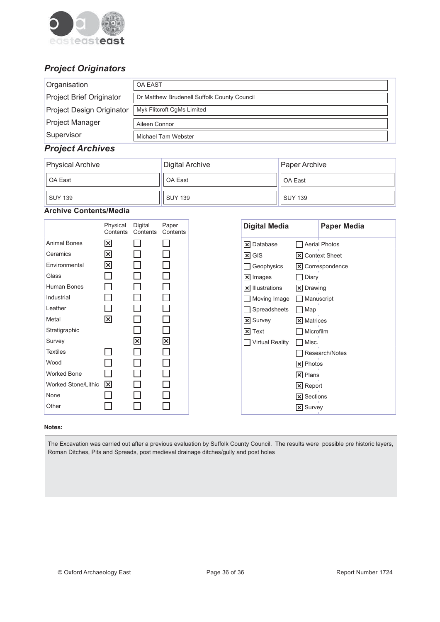

# **Project Originators**

| Organisation                    | <b>OA EAST</b>                              |
|---------------------------------|---------------------------------------------|
| <b>Project Brief Originator</b> | Dr Matthew Brudenell Suffolk County Council |
| Project Design Originator       | Myk Flitcroft CgMs Limited                  |
| <b>Project Manager</b>          | Aileen Connor                               |
| Supervisor                      | Michael Tam Webster                         |

## **Project Archives**

| <b>Physical Archive</b> | Digital Archive | Paper Archive  |
|-------------------------|-----------------|----------------|
| OA East                 | OA East         | OA East        |
| <b>SUY 139</b>          | <b>SUY 139</b>  | <b>SUY 139</b> |

#### **Archive Contents/Media**

|                     | Physical<br>Contents | Digital<br>Contents | Paper<br>Contents |
|---------------------|----------------------|---------------------|-------------------|
| <b>Animal Bones</b> | $\boxed{\mathsf{x}}$ |                     |                   |
| Ceramics            | 図                    |                     |                   |
| Environmental       | 冈                    |                     |                   |
| Glass               |                      |                     |                   |
| Human Bones         |                      |                     |                   |
| Industrial          |                      |                     |                   |
| Leather             |                      |                     |                   |
| Metal               | 図                    |                     |                   |
| Stratigraphic       |                      |                     |                   |
| Survey              |                      | $\boxtimes$         | $\boxtimes$       |
| <b>Textiles</b>     |                      |                     |                   |
| Wood                |                      |                     |                   |
| <b>Worked Bone</b>  |                      |                     |                   |
| Worked Stone/Lithic | $\boxed{\mathsf{x}}$ |                     |                   |
| None                |                      |                     |                   |
| Other               |                      |                     |                   |

#### Notes:

The Excavation was carried out after a previous evaluation by Suffolk County Council. The results were possible pre historic layers, Roman Ditches, Pits and Spreads, post medieval drainage ditches/gully and post holes